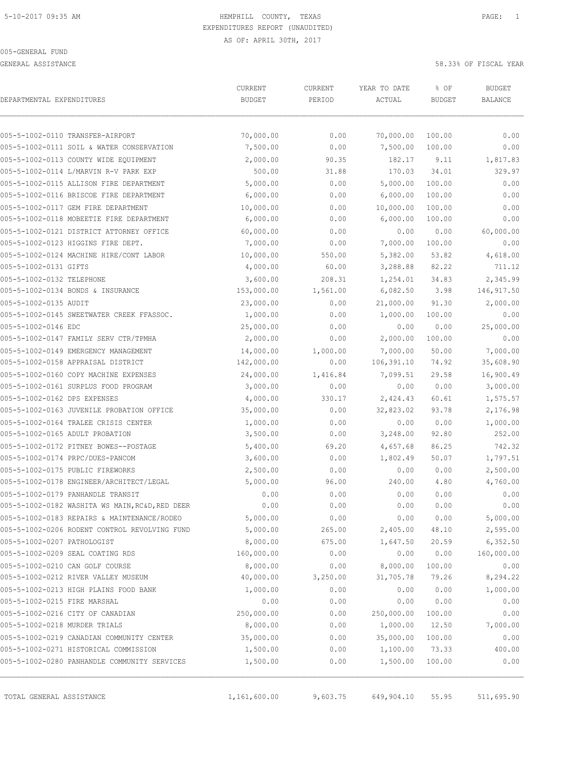GENERAL ASSISTANCE 58.33% OF FISCAL YEAR

| DEPARTMENTAL EXPENDITURES     |                                                 | CURRENT<br><b>BUDGET</b> | CURRENT<br>PERIOD | YEAR TO DATE<br>ACTUAL | % OF<br><b>BUDGET</b> | <b>BUDGET</b><br><b>BALANCE</b> |
|-------------------------------|-------------------------------------------------|--------------------------|-------------------|------------------------|-----------------------|---------------------------------|
|                               | 005-5-1002-0110 TRANSFER-AIRPORT                | 70,000.00                | 0.00              | 70,000.00              | 100.00                | 0.00                            |
|                               | 005-5-1002-0111 SOIL & WATER CONSERVATION       | 7,500.00                 | 0.00              | 7,500.00               | 100.00                | 0.00                            |
|                               | 005-5-1002-0113 COUNTY WIDE EQUIPMENT           | 2,000.00                 | 90.35             | 182.17                 | 9.11                  | 1,817.83                        |
|                               | 005-5-1002-0114 L/MARVIN R-V PARK EXP           | 500.00                   | 31.88             | 170.03                 | 34.01                 | 329.97                          |
|                               | 005-5-1002-0115 ALLISON FIRE DEPARTMENT         | 5,000.00                 | 0.00              | 5,000.00               | 100.00                | 0.00                            |
|                               | 005-5-1002-0116 BRISCOE FIRE DEPARTMENT         | 6,000.00                 | 0.00              | 6,000.00               | 100.00                | 0.00                            |
|                               | 005-5-1002-0117 GEM FIRE DEPARTMENT             | 10,000.00                | 0.00              | 10,000.00              | 100.00                | 0.00                            |
|                               | 005-5-1002-0118 MOBEETIE FIRE DEPARTMENT        | 6,000.00                 | 0.00              | 6,000.00               | 100.00                | 0.00                            |
|                               | 005-5-1002-0121 DISTRICT ATTORNEY OFFICE        | 60,000.00                | 0.00              | 0.00                   | 0.00                  | 60,000.00                       |
|                               | 005-5-1002-0123 HIGGINS FIRE DEPT.              | 7,000.00                 | 0.00              | 7,000.00               | 100.00                | 0.00                            |
|                               | 005-5-1002-0124 MACHINE HIRE/CONT LABOR         | 10,000.00                | 550.00            | 5,382.00               | 53.82                 | 4,618.00                        |
| 005-5-1002-0131 GIFTS         |                                                 | 4,000.00                 | 60.00             | 3,288.88               | 82.22                 | 711.12                          |
| 005-5-1002-0132 TELEPHONE     |                                                 | 3,600.00                 | 208.31            | 1,254.01               | 34.83                 | 2,345.99                        |
|                               | 005-5-1002-0134 BONDS & INSURANCE               | 153,000.00               | 1,561.00          | 6,082.50               | 3.98                  | 146, 917.50                     |
| 005-5-1002-0135 AUDIT         |                                                 | 23,000.00                | 0.00              | 21,000.00              | 91.30                 | 2,000.00                        |
|                               | 005-5-1002-0145 SWEETWATER CREEK FFASSOC.       | 1,000.00                 | 0.00              | 1,000.00               | 100.00                | 0.00                            |
| 005-5-1002-0146 EDC           |                                                 | 25,000.00                | 0.00              | 0.00                   | 0.00                  | 25,000.00                       |
|                               | 005-5-1002-0147 FAMILY SERV CTR/TPMHA           | 2,000.00                 | 0.00              | 2,000.00               | 100.00                | 0.00                            |
|                               | 005-5-1002-0149 EMERGENCY MANAGEMENT            | 14,000.00                | 1,000.00          | 7,000.00               | 50.00                 | 7,000.00                        |
|                               | 005-5-1002-0158 APPRAISAL DISTRICT              | 142,000.00               | 0.00              | 106,391.10             | 74.92                 | 35,608.90                       |
|                               | 005-5-1002-0160 COPY MACHINE EXPENSES           | 24,000.00                | 1,416.84          | 7,099.51               | 29.58                 | 16,900.49                       |
|                               | 005-5-1002-0161 SURPLUS FOOD PROGRAM            | 3,000.00                 | 0.00              | 0.00                   | 0.00                  | 3,000.00                        |
| 005-5-1002-0162 DPS EXPENSES  |                                                 | 4,000.00                 | 330.17            | 2,424.43               | 60.61                 | 1,575.57                        |
|                               | 005-5-1002-0163 JUVENILE PROBATION OFFICE       | 35,000.00                | 0.00              | 32,823.02              | 93.78                 | 2,176.98                        |
|                               | 005-5-1002-0164 TRALEE CRISIS CENTER            | 1,000.00                 | 0.00              | 0.00                   | 0.00                  | 1,000.00                        |
|                               | 005-5-1002-0165 ADULT PROBATION                 | 3,500.00                 | 0.00              | 3,248.00               | 92.80                 | 252.00                          |
|                               | 005-5-1002-0172 PITNEY BOWES--POSTAGE           | 5,400.00                 | 69.20             | 4,657.68               | 86.25                 | 742.32                          |
|                               | 005-5-1002-0174 PRPC/DUES-PANCOM                | 3,600.00                 | 0.00              | 1,802.49               | 50.07                 | 1,797.51                        |
|                               | 005-5-1002-0175 PUBLIC FIREWORKS                | 2,500.00                 | 0.00              | 0.00                   | 0.00                  | 2,500.00                        |
|                               | 005-5-1002-0178 ENGINEER/ARCHITECT/LEGAL        | 5,000.00                 | 96.00             | 240.00                 | 4.80                  | 4,760.00                        |
|                               | 005-5-1002-0179 PANHANDLE TRANSIT               | 0.00                     | 0.00              | 0.00                   | 0.00                  | 0.00                            |
|                               | 005-5-1002-0182 WASHITA WS MAIN, RC&D, RED DEER | 0.00                     | 0.00              | 0.00                   | 0.00                  | 0.00                            |
|                               | 005-5-1002-0183 REPAIRS & MAINTENANCE/RODEO     | 5,000.00                 | 0.00              | 0.00                   | 0.00                  | 5,000.00                        |
|                               | 005-5-1002-0206 RODENT CONTROL REVOLVING FUND   | 5,000.00                 | 265.00            | 2,405.00               | 48.10                 | 2,595.00                        |
| 005-5-1002-0207 PATHOLOGIST   |                                                 | 8,000.00                 | 675.00            | 1,647.50               | 20.59                 | 6,352.50                        |
|                               | 005-5-1002-0209 SEAL COATING RDS                | 160,000.00               | 0.00              | 0.00                   | 0.00                  | 160,000.00                      |
|                               | 005-5-1002-0210 CAN GOLF COURSE                 | 8,000.00                 | 0.00              | 8,000.00               | 100.00                | 0.00                            |
|                               | 005-5-1002-0212 RIVER VALLEY MUSEUM             | 40,000.00                | 3,250.00          | 31,705.78              | 79.26                 | 8,294.22                        |
|                               | 005-5-1002-0213 HIGH PLAINS FOOD BANK           | 1,000.00                 | 0.00              | 0.00                   | 0.00                  | 1,000.00                        |
| 005-5-1002-0215 FIRE MARSHAL  |                                                 | 0.00                     | 0.00              | 0.00                   | 0.00                  | 0.00                            |
|                               | 005-5-1002-0216 CITY OF CANADIAN                | 250,000.00               | 0.00              | 250,000.00             | 100.00                | 0.00                            |
| 005-5-1002-0218 MURDER TRIALS |                                                 | 8,000.00                 | 0.00              | 1,000.00               | 12.50                 | 7,000.00                        |
|                               | 005-5-1002-0219 CANADIAN COMMUNITY CENTER       | 35,000.00                | 0.00              | 35,000.00              | 100.00                | 0.00                            |
|                               | 005-5-1002-0271 HISTORICAL COMMISSION           | 1,500.00                 | 0.00              | 1,100.00               | 73.33                 | 400.00                          |
|                               | 005-5-1002-0280 PANHANDLE COMMUNITY SERVICES    | 1,500.00                 | 0.00              | 1,500.00               | 100.00                | 0.00                            |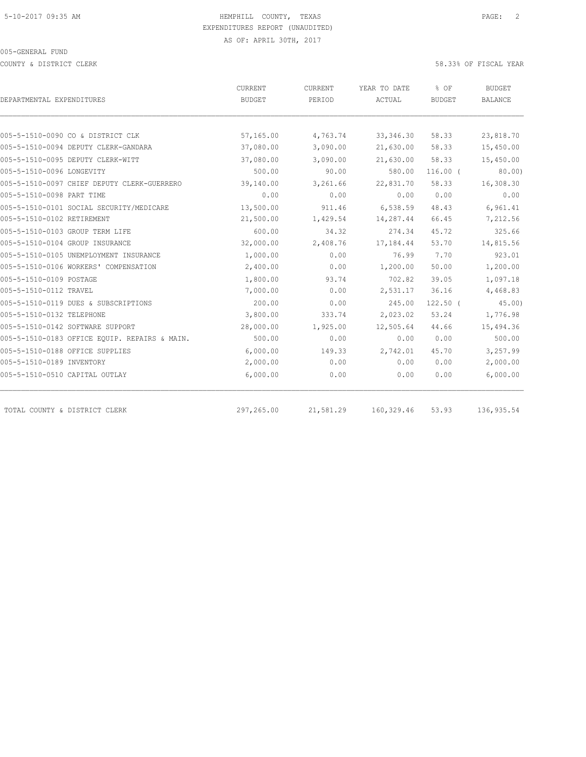COUNTY & DISTRICT CLERK 58.33% OF FISCAL YEAR

|                                               | CURRENT    | CURRENT   | YEAR TO DATE | % OF          | BUDGET         |  |
|-----------------------------------------------|------------|-----------|--------------|---------------|----------------|--|
| DEPARTMENTAL EXPENDITURES                     | BUDGET     | PERIOD    | ACTUAL       | <b>BUDGET</b> | <b>BALANCE</b> |  |
|                                               |            |           |              |               |                |  |
| 005-5-1510-0090 CO & DISTRICT CLK             | 57,165.00  | 4,763.74  | 33, 346.30   | 58.33         | 23,818.70      |  |
| 005-5-1510-0094 DEPUTY CLERK-GANDARA          | 37,080.00  | 3,090.00  | 21,630.00    | 58.33         | 15,450.00      |  |
| 005-5-1510-0095 DEPUTY CLERK-WITT             | 37,080.00  | 3,090.00  | 21,630.00    | 58.33         | 15,450.00      |  |
| 005-5-1510-0096 LONGEVITY                     | 500.00     | 90.00     | 580.00       | $116.00$ (    | 80.00          |  |
| 005-5-1510-0097 CHIEF DEPUTY CLERK-GUERRERO   | 39,140.00  | 3,261.66  | 22,831.70    | 58.33         | 16,308.30      |  |
| 005-5-1510-0098 PART TIME                     | 0.00       | 0.00      | 0.00         | 0.00          | 0.00           |  |
| 005-5-1510-0101 SOCIAL SECURITY/MEDICARE      | 13,500.00  | 911.46    | 6,538.59     | 48.43         | 6,961.41       |  |
| 005-5-1510-0102 RETIREMENT                    | 21,500.00  | 1,429.54  | 14,287.44    | 66.45         | 7,212.56       |  |
| 005-5-1510-0103 GROUP TERM LIFE               | 600.00     | 34.32     | 274.34       | 45.72         | 325.66         |  |
| 005-5-1510-0104 GROUP INSURANCE               | 32,000.00  | 2,408.76  | 17, 184.44   | 53.70         | 14,815.56      |  |
| 005-5-1510-0105 UNEMPLOYMENT INSURANCE        | 1,000.00   | 0.00      | 76.99        | 7.70          | 923.01         |  |
| 005-5-1510-0106 WORKERS' COMPENSATION         | 2,400.00   | 0.00      | 1,200.00     | 50.00         | 1,200.00       |  |
| 005-5-1510-0109 POSTAGE                       | 1,800.00   | 93.74     | 702.82       | 39.05         | 1,097.18       |  |
| 005-5-1510-0112 TRAVEL                        | 7,000.00   | 0.00      | 2,531.17     | 36.16         | 4,468.83       |  |
| 005-5-1510-0119 DUES & SUBSCRIPTIONS          | 200.00     | 0.00      | 245.00       | $122.50$ (    | 45.00          |  |
| 005-5-1510-0132 TELEPHONE                     | 3,800.00   | 333.74    | 2,023.02     | 53.24         | 1,776.98       |  |
| 005-5-1510-0142 SOFTWARE SUPPORT              | 28,000.00  | 1,925.00  | 12,505.64    | 44.66         | 15,494.36      |  |
| 005-5-1510-0183 OFFICE EOUIP. REPAIRS & MAIN. | 500.00     | 0.00      | 0.00         | 0.00          | 500.00         |  |
| 005-5-1510-0188 OFFICE SUPPLIES               | 6,000.00   | 149.33    | 2,742.01     | 45.70         | 3,257.99       |  |
| 005-5-1510-0189 INVENTORY                     | 2,000.00   | 0.00      | 0.00         | 0.00          | 2,000.00       |  |
| 005-5-1510-0510 CAPITAL OUTLAY                | 6,000.00   | 0.00      | 0.00         | 0.00          | 6,000.00       |  |
|                                               |            |           |              |               |                |  |
| TOTAL COUNTY & DISTRICT CLERK                 | 297,265.00 | 21,581.29 | 160,329.46   | 53.93         | 136, 935.54    |  |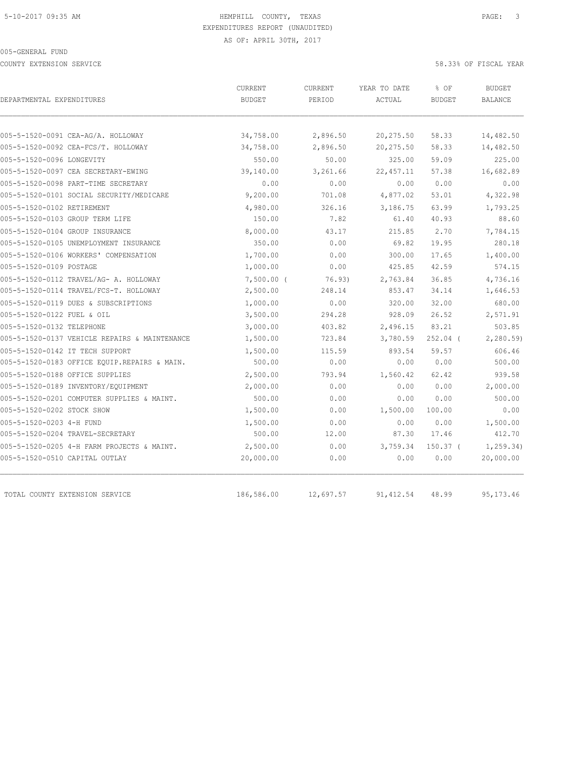COUNTY EXTENSION SERVICE 58.33% OF FISCAL YEAR

| DEPARTMENTAL EXPENDITURES                     | <b>CURRENT</b><br><b>BUDGET</b> | <b>CURRENT</b><br>PERIOD | YEAR TO DATE<br>ACTUAL | % OF<br><b>BUDGET</b> | <b>BUDGET</b><br>BALANCE |
|-----------------------------------------------|---------------------------------|--------------------------|------------------------|-----------------------|--------------------------|
|                                               |                                 |                          |                        |                       |                          |
| 005-5-1520-0091 CEA-AG/A. HOLLOWAY            | 34,758.00                       | 2,896.50                 | 20, 275.50             | 58.33                 | 14,482.50                |
| 005-5-1520-0092 CEA-FCS/T. HOLLOWAY           | 34,758.00                       | 2,896.50                 | 20, 275.50             | 58.33                 | 14,482.50                |
| 005-5-1520-0096 LONGEVITY                     | 550.00                          | 50.00                    | 325.00                 | 59.09                 | 225.00<br>16,682.89      |
| 005-5-1520-0097 CEA SECRETARY-EWING           | 39,140.00                       | 3,261.66                 | 22, 457.11             | 57.38                 |                          |
| 005-5-1520-0098 PART-TIME SECRETARY           | 0.00                            | 0.00                     | 0.00                   | 0.00                  | 0.00                     |
| 005-5-1520-0101 SOCIAL SECURITY/MEDICARE      | 9,200.00                        | 701.08                   | 4,877.02               | 53.01                 | 4,322.98                 |
| 005-5-1520-0102 RETIREMENT                    | 4,980.00                        | 326.16                   | 3,186.75               | 63.99                 | 1,793.25                 |
| 005-5-1520-0103 GROUP TERM LIFE               | 150.00                          | 7.82                     | 61.40                  | 40.93                 | 88.60                    |
| 005-5-1520-0104 GROUP INSURANCE               | 8,000.00                        | 43.17                    | 215.85                 | 2.70                  | 7,784.15                 |
| 005-5-1520-0105 UNEMPLOYMENT INSURANCE        | 350.00                          | 0.00                     | 69.82                  | 19.95                 | 280.18                   |
| 005-5-1520-0106 WORKERS' COMPENSATION         | 1,700.00                        | 0.00                     | 300.00                 | 17.65                 | 1,400.00                 |
| 005-5-1520-0109 POSTAGE                       | 1,000.00                        | 0.00                     | 425.85                 | 42.59                 | 574.15                   |
| 005-5-1520-0112 TRAVEL/AG- A. HOLLOWAY        | $7,500.00$ (                    | 76.93)                   | 2,763.84               | 36.85                 | 4,736.16                 |
| 005-5-1520-0114 TRAVEL/FCS-T. HOLLOWAY        | 2,500.00                        | 248.14                   | 853.47                 | 34.14                 | 1,646.53                 |
| 005-5-1520-0119 DUES & SUBSCRIPTIONS          | 1,000.00                        | 0.00                     | 320.00                 | 32.00                 | 680.00                   |
| 005-5-1520-0122 FUEL & OIL                    | 3,500.00                        | 294.28                   | 928.09                 | 26.52                 | 2,571.91                 |
| 005-5-1520-0132 TELEPHONE                     | 3,000.00                        | 403.82                   | 2,496.15               | 83.21                 | 503.85                   |
| 005-5-1520-0137 VEHICLE REPAIRS & MAINTENANCE | 1,500.00                        | 723.84                   | 3,780.59               | $252.04$ (            | 2, 280.59                |
| 005-5-1520-0142 IT TECH SUPPORT               | 1,500.00                        | 115.59                   | 893.54                 | 59.57                 | 606.46                   |
| 005-5-1520-0183 OFFICE EOUIP.REPAIRS & MAIN.  | 500.00                          | 0.00                     | 0.00                   | 0.00                  | 500.00                   |
| 005-5-1520-0188 OFFICE SUPPLIES               | 2,500.00                        | 793.94                   | 1,560.42               | 62.42                 | 939.58                   |
| 005-5-1520-0189 INVENTORY/EQUIPMENT           | 2,000.00                        | 0.00                     | 0.00                   | 0.00                  | 2,000.00                 |
| 005-5-1520-0201 COMPUTER SUPPLIES & MAINT.    | 500.00                          | 0.00                     | 0.00                   | 0.00                  | 500.00                   |
| 005-5-1520-0202 STOCK SHOW                    | 1,500.00                        | 0.00                     | 1,500.00               | 100.00                | 0.00                     |
| 005-5-1520-0203 4-H FUND                      | 1,500.00                        | 0.00                     | 0.00                   | 0.00                  | 1,500.00                 |
| 005-5-1520-0204 TRAVEL-SECRETARY              | 500.00                          | 12.00                    | 87.30                  | 17.46                 | 412.70                   |
| 005-5-1520-0205 4-H FARM PROJECTS & MAINT.    | 2,500.00                        | 0.00                     | 3,759.34               | 150.37 <sub>0</sub>   | 1, 259.34)               |
| 005-5-1520-0510 CAPITAL OUTLAY                | 20,000.00                       | 0.00                     | 0.00                   | 0.00                  | 20,000.00                |
| TOTAL COUNTY EXTENSION SERVICE                | 186,586.00                      | 12,697.57                | 91, 412.54             | 48.99                 | 95, 173. 46              |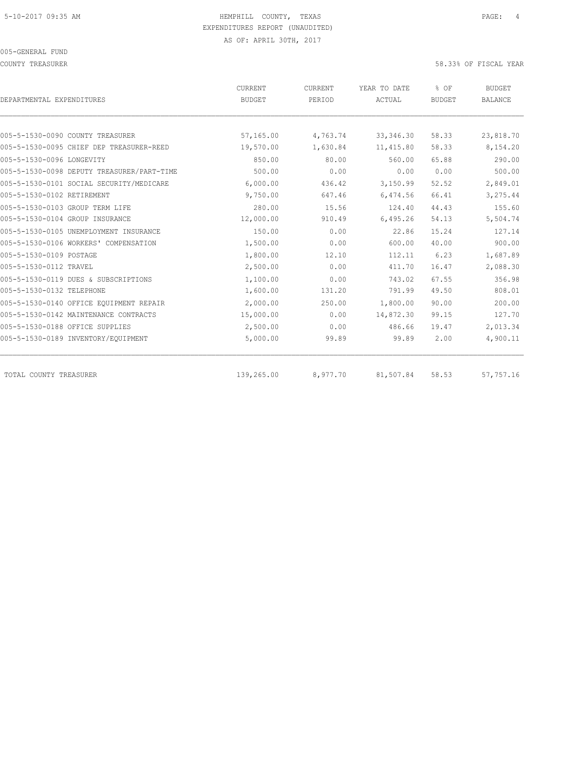COUNTY TREASURER 58.33% OF FISCAL YEAR

| DEPARTMENTAL EXPENDITURES                  | CURRENT<br><b>BUDGET</b> | <b>CURRENT</b><br>PERIOD | YEAR TO DATE<br>ACTUAL | % OF<br><b>BUDGET</b> | <b>BUDGET</b><br><b>BALANCE</b> |
|--------------------------------------------|--------------------------|--------------------------|------------------------|-----------------------|---------------------------------|
| 005-5-1530-0090 COUNTY TREASURER           | 57,165.00                | 4,763.74                 | 33, 346.30             | 58.33                 | 23,818.70                       |
| 005-5-1530-0095 CHIEF DEP TREASURER-REED   | 19,570.00                | 1,630.84                 | 11, 415.80             | 58.33                 | 8,154.20                        |
| 005-5-1530-0096 LONGEVITY                  | 850.00                   | 80.00                    | 560.00                 | 65.88                 | 290.00                          |
| 005-5-1530-0098 DEPUTY TREASURER/PART-TIME | 500.00                   | 0.00                     | 0.00                   | 0.00                  | 500.00                          |
| 005-5-1530-0101 SOCIAL SECURITY/MEDICARE   | 6,000.00                 | 436.42                   | 3,150.99               | 52.52                 | 2,849.01                        |
| 005-5-1530-0102 RETIREMENT                 | 9,750.00                 | 647.46                   | 6,474.56               | 66.41                 | 3,275.44                        |
| 005-5-1530-0103 GROUP TERM LIFE            | 280.00                   | 15.56                    | 124.40                 | 44.43                 | 155.60                          |
| 005-5-1530-0104 GROUP INSURANCE            | 12,000.00                | 910.49                   | 6,495.26               | 54.13                 | 5,504.74                        |
| 005-5-1530-0105 UNEMPLOYMENT INSURANCE     | 150.00                   | 0.00                     | 22.86                  | 15.24                 | 127.14                          |
| 005-5-1530-0106 WORKERS' COMPENSATION      | 1,500.00                 | 0.00                     | 600.00                 | 40.00                 | 900.00                          |
| 005-5-1530-0109 POSTAGE                    | 1,800.00                 | 12.10                    | 112.11                 | 6.23                  | 1,687.89                        |
| 005-5-1530-0112 TRAVEL                     | 2,500.00                 | 0.00                     | 411.70                 | 16.47                 | 2,088.30                        |
| 005-5-1530-0119 DUES & SUBSCRIPTIONS       | 1,100.00                 | 0.00                     | 743.02                 | 67.55                 | 356.98                          |
| 005-5-1530-0132 TELEPHONE                  | 1,600.00                 | 131.20                   | 791.99                 | 49.50                 | 808.01                          |
| 005-5-1530-0140 OFFICE EQUIPMENT REPAIR    | 2,000.00                 | 250.00                   | 1,800.00               | 90.00                 | 200.00                          |
| 005-5-1530-0142 MAINTENANCE CONTRACTS      | 15,000.00                | 0.00                     | 14,872.30              | 99.15                 | 127.70                          |
| 005-5-1530-0188 OFFICE SUPPLIES            | 2,500.00                 | 0.00                     | 486.66                 | 19.47                 | 2,013.34                        |
| 005-5-1530-0189 INVENTORY/EQUIPMENT        | 5,000.00                 | 99.89                    | 99.89                  | 2.00                  | 4,900.11                        |
| TOTAL COUNTY TREASURER                     | 139,265.00               | 8,977.70                 | 81,507.84              | 58.53                 | 57,757.16                       |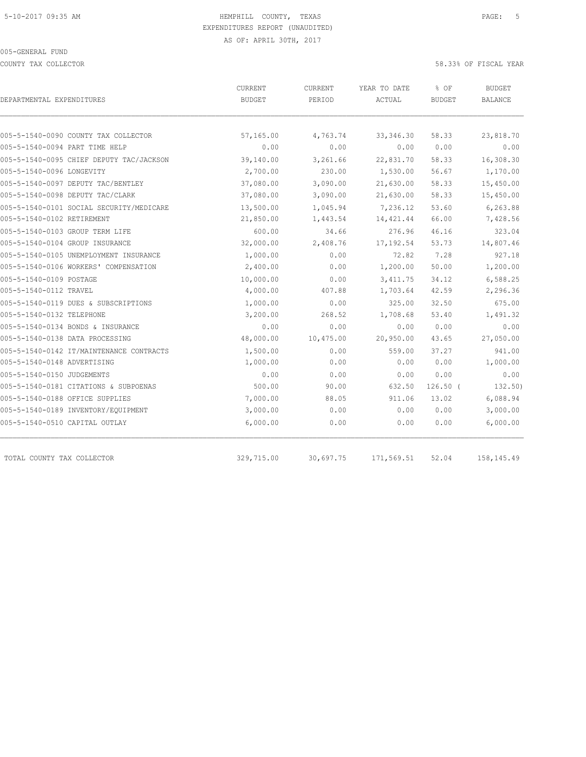COUNTY TAX COLLECTOR 58.33% OF FISCAL YEAR

| DEPARTMENTAL EXPENDITURES                | CURRENT<br><b>BUDGET</b> | <b>CURRENT</b><br>PERIOD | YEAR TO DATE<br>ACTUAL | % OF<br><b>BUDGET</b> | <b>BUDGET</b><br>BALANCE |
|------------------------------------------|--------------------------|--------------------------|------------------------|-----------------------|--------------------------|
|                                          |                          |                          |                        |                       |                          |
| 005-5-1540-0090 COUNTY TAX COLLECTOR     | 57,165.00                | 4,763.74                 | 33, 346.30             | 58.33                 | 23,818.70                |
| 005-5-1540-0094 PART TIME HELP           | 0.00                     | 0.00                     | 0.00                   | 0.00                  | 0.00                     |
| 005-5-1540-0095 CHIEF DEPUTY TAC/JACKSON | 39,140.00                | 3,261.66                 | 22,831.70              | 58.33                 | 16,308.30                |
| 005-5-1540-0096 LONGEVITY                | 2,700.00                 | 230.00                   | 1,530.00               | 56.67                 | 1,170.00                 |
| 005-5-1540-0097 DEPUTY TAC/BENTLEY       | 37,080.00                | 3,090.00                 | 21,630.00              | 58.33                 | 15,450.00                |
| 005-5-1540-0098 DEPUTY TAC/CLARK         | 37,080.00                | 3,090.00                 | 21,630.00              | 58.33                 | 15,450.00                |
| 005-5-1540-0101 SOCIAL SECURITY/MEDICARE | 13,500.00                | 1,045.94                 | 7,236.12               | 53.60                 | 6,263.88                 |
| 005-5-1540-0102 RETIREMENT               | 21,850.00                | 1,443.54                 | 14, 421.44             | 66.00                 | 7,428.56                 |
| 005-5-1540-0103 GROUP TERM LIFE          | 600.00                   | 34.66                    | 276.96                 | 46.16                 | 323.04                   |
| 005-5-1540-0104 GROUP INSURANCE          | 32,000.00                | 2,408.76                 | 17, 192.54             | 53.73                 | 14,807.46                |
| 005-5-1540-0105 UNEMPLOYMENT INSURANCE   | 1,000.00                 | 0.00                     | 72.82                  | 7.28                  | 927.18                   |
| 005-5-1540-0106 WORKERS' COMPENSATION    | 2,400.00                 | 0.00                     | 1,200.00               | 50.00                 | 1,200.00                 |
| 005-5-1540-0109 POSTAGE                  | 10,000.00                | 0.00                     | 3, 411.75              | 34.12                 | 6,588.25                 |
| 005-5-1540-0112 TRAVEL                   | 4,000.00                 | 407.88                   | 1,703.64               | 42.59                 | 2,296.36                 |
| 005-5-1540-0119 DUES & SUBSCRIPTIONS     | 1,000.00                 | 0.00                     | 325.00                 | 32.50                 | 675.00                   |
| 005-5-1540-0132 TELEPHONE                | 3,200.00                 | 268.52                   | 1,708.68               | 53.40                 | 1,491.32                 |
| 005-5-1540-0134 BONDS & INSURANCE        | 0.00                     | 0.00                     | 0.00                   | 0.00                  | 0.00                     |
| 005-5-1540-0138 DATA PROCESSING          | 48,000.00                | 10,475.00                | 20,950.00              | 43.65                 | 27,050.00                |
| 005-5-1540-0142 IT/MAINTENANCE CONTRACTS | 1,500.00                 | 0.00                     | 559.00                 | 37.27                 | 941.00                   |
| 005-5-1540-0148 ADVERTISING              | 1,000.00                 | 0.00                     | 0.00                   | 0.00                  | 1,000.00                 |
| 005-5-1540-0150 JUDGEMENTS               | 0.00                     | 0.00                     | 0.00                   | 0.00                  | 0.00                     |
| 005-5-1540-0181 CITATIONS & SUBPOENAS    | 500.00                   | 90.00                    | 632.50                 | $126.50$ (            | 132.50)                  |
| 005-5-1540-0188 OFFICE SUPPLIES          | 7,000.00                 | 88.05                    | 911.06                 | 13.02                 | 6,088.94                 |
| 005-5-1540-0189 INVENTORY/EQUIPMENT      | 3,000.00                 | 0.00                     | 0.00                   | 0.00                  | 3,000.00                 |
| 005-5-1540-0510 CAPITAL OUTLAY           | 6,000.00                 | 0.00                     | 0.00                   | 0.00                  | 6,000.00                 |
| TOTAL COUNTY TAX COLLECTOR               | 329,715.00               | 30,697.75                | 171,569.51             | 52.04                 | 158,145.49               |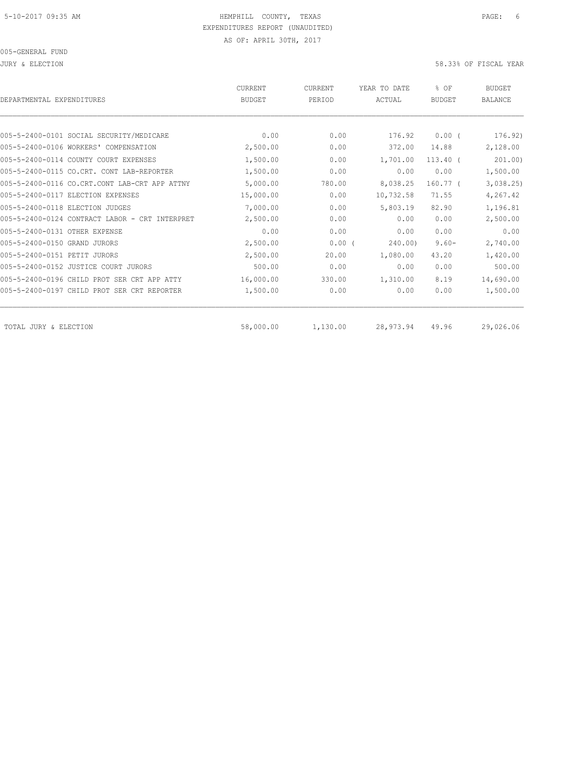JURY & ELECTION 58.33% OF FISCAL YEAR

| DEPARTMENTAL EXPENDITURES                      | <b>CURRENT</b><br><b>BUDGET</b> | <b>CURRENT</b><br>PERIOD | YEAR TO DATE<br>ACTUAL | % OF<br><b>BUDGET</b> | <b>BUDGET</b><br><b>BALANCE</b> |
|------------------------------------------------|---------------------------------|--------------------------|------------------------|-----------------------|---------------------------------|
|                                                |                                 |                          |                        |                       |                                 |
| 005-5-2400-0101 SOCIAL SECURITY/MEDICARE       | 0.00                            | 0.00                     | 176.92                 | $0.00$ (              | 176.92)                         |
| 005-5-2400-0106 WORKERS' COMPENSATION          | 2,500.00                        | 0.00                     | 372.00                 | 14.88                 | 2,128.00                        |
| 005-5-2400-0114 COUNTY COURT EXPENSES          | 1,500.00                        | 0.00                     | 1,701.00               | $113.40$ $($          | 201.00)                         |
| 005-5-2400-0115 CO.CRT. CONT LAB-REPORTER      | 1,500.00                        | 0.00                     | 0.00                   | 0.00                  | 1,500.00                        |
| 005-5-2400-0116 CO.CRT.CONT LAB-CRT APP ATTNY  | 5,000.00                        | 780.00                   | 8,038.25               | 160.77 (              | 3,038.25                        |
| 005-5-2400-0117 ELECTION EXPENSES              | 15,000.00                       | 0.00                     | 10,732.58              | 71.55                 | 4,267.42                        |
| 005-5-2400-0118 ELECTION JUDGES                | 7,000.00                        | 0.00                     | 5,803.19               | 82.90                 | 1,196.81                        |
| 005-5-2400-0124 CONTRACT LABOR - CRT INTERPRET | 2,500.00                        | 0.00                     | 0.00                   | 0.00                  | 2,500.00                        |
| 005-5-2400-0131 OTHER EXPENSE                  | 0.00                            | 0.00                     | 0.00                   | 0.00                  | 0.00                            |
| 005-5-2400-0150 GRAND JURORS                   | 2,500.00                        | 0.00(                    | 240.00)                | $9.60 -$              | 2,740.00                        |
| 005-5-2400-0151 PETIT JURORS                   | 2,500.00                        | 20.00                    | 1,080.00               | 43.20                 | 1,420.00                        |
| 005-5-2400-0152 JUSTICE COURT JURORS           | 500.00                          | 0.00                     | 0.00                   | 0.00                  | 500.00                          |
| 005-5-2400-0196 CHILD PROT SER CRT APP ATTY    | 16,000.00                       | 330.00                   | 1,310.00               | 8.19                  | 14,690.00                       |
| 005-5-2400-0197 CHILD PROT SER CRT REPORTER    | 1,500.00                        | 0.00                     | 0.00                   | 0.00                  | 1,500.00                        |
| TOTAL JURY & ELECTION                          | 58,000.00                       | 1,130.00                 | 28, 973.94             | 49.96                 | 29,026.06                       |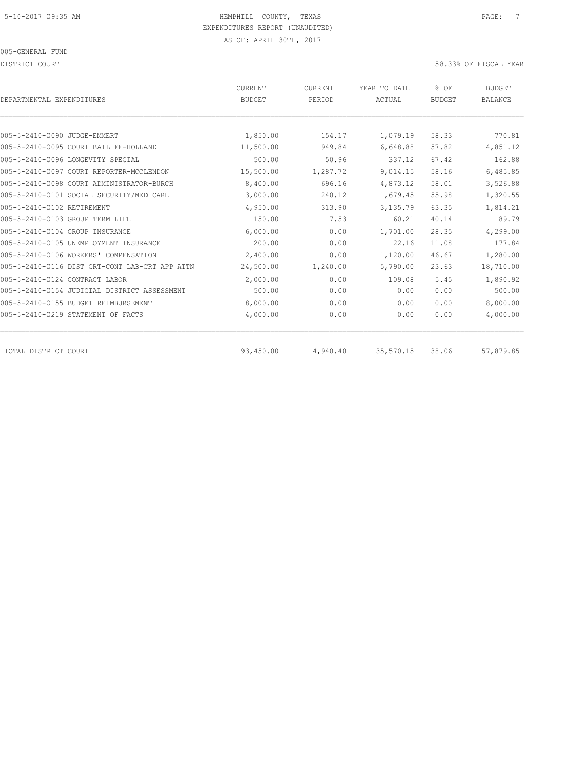DISTRICT COURT 58.33% OF FISCAL YEAR

| DEPARTMENTAL EXPENDITURES                      | <b>CURRENT</b><br><b>BUDGET</b> | CURRENT<br>PERIOD | YEAR TO DATE<br>ACTUAL | % OF<br><b>BUDGET</b> | <b>BUDGET</b><br><b>BALANCE</b> |
|------------------------------------------------|---------------------------------|-------------------|------------------------|-----------------------|---------------------------------|
|                                                |                                 |                   |                        |                       |                                 |
| 005-5-2410-0090 JUDGE-EMMERT                   | 1,850.00                        | 154.17            | 1,079.19               | 58.33                 | 770.81                          |
| 005-5-2410-0095 COURT BAILIFF-HOLLAND          | 11,500.00                       | 949.84            | 6,648.88               | 57.82                 | 4,851.12                        |
| 005-5-2410-0096 LONGEVITY SPECIAL              | 500.00                          | 50.96             | 337.12                 | 67.42                 | 162.88                          |
| 005-5-2410-0097 COURT REPORTER-MCCLENDON       | 15,500.00                       | 1,287.72          | 9,014.15               | 58.16                 | 6,485.85                        |
| 005-5-2410-0098 COURT ADMINISTRATOR-BURCH      | 8,400.00                        | 696.16            | 4,873.12               | 58.01                 | 3,526.88                        |
| 005-5-2410-0101 SOCIAL SECURITY/MEDICARE       | 3,000.00                        | 240.12            | 1,679.45               | 55.98                 | 1,320.55                        |
| 005-5-2410-0102 RETIREMENT                     | 4,950.00                        | 313.90            | 3,135.79               | 63.35                 | 1,814.21                        |
| 005-5-2410-0103 GROUP TERM LIFE                | 150.00                          | 7.53              | 60.21                  | 40.14                 | 89.79                           |
| 005-5-2410-0104 GROUP INSURANCE                | 6,000.00                        | 0.00              | 1,701.00               | 28.35                 | 4,299.00                        |
| 005-5-2410-0105 UNEMPLOYMENT INSURANCE         | 200.00                          | 0.00              | 22.16                  | 11.08                 | 177.84                          |
| 005-5-2410-0106 WORKERS' COMPENSATION          | 2,400.00                        | 0.00              | 1,120.00               | 46.67                 | 1,280.00                        |
| 005-5-2410-0116 DIST CRT-CONT LAB-CRT APP ATTN | 24,500.00                       | 1,240.00          | 5,790.00               | 23.63                 | 18,710.00                       |
| 005-5-2410-0124 CONTRACT LABOR                 | 2,000.00                        | 0.00              | 109.08                 | 5.45                  | 1,890.92                        |
| 005-5-2410-0154 JUDICIAL DISTRICT ASSESSMENT   | 500.00                          | 0.00              | 0.00                   | 0.00                  | 500.00                          |
| 005-5-2410-0155 BUDGET REIMBURSEMENT           | 8,000.00                        | 0.00              | 0.00                   | 0.00                  | 8,000.00                        |
| 005-5-2410-0219 STATEMENT OF FACTS             | 4,000.00                        | 0.00              | 0.00                   | 0.00                  | 4,000.00                        |
|                                                |                                 |                   |                        |                       |                                 |
| TOTAL DISTRICT COURT                           | 93,450.00                       | 4,940.40          | 35,570.15              | 38.06                 | 57,879.85                       |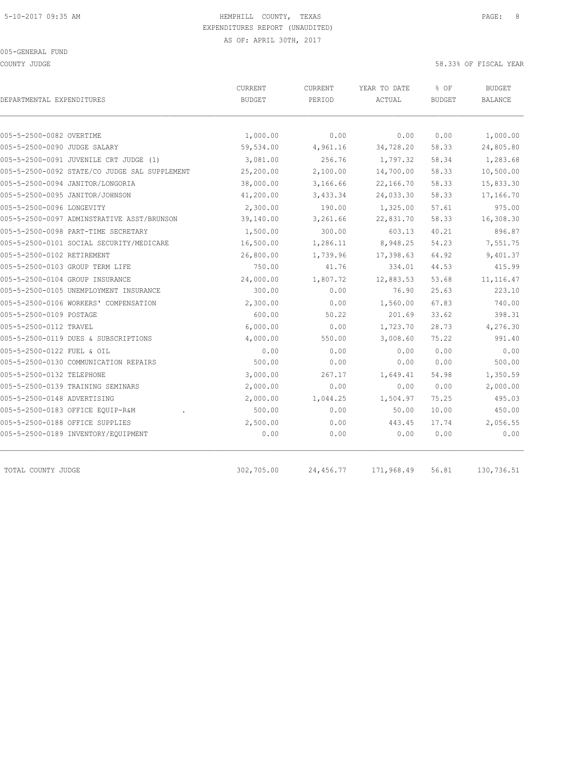COUNTY JUDGE 58.33% OF FISCAL YEAR

| DEPARTMENTAL EXPENDITURES                     | CURRENT<br><b>BUDGET</b> | <b>CURRENT</b><br>PERIOD | YEAR TO DATE<br>ACTUAL | % OF<br><b>BUDGET</b> | <b>BUDGET</b><br>BALANCE |
|-----------------------------------------------|--------------------------|--------------------------|------------------------|-----------------------|--------------------------|
|                                               |                          |                          |                        |                       |                          |
| 005-5-2500-0082 OVERTIME                      | 1,000.00                 | 0.00                     | 0.00                   | 0.00                  | 1,000.00                 |
| 005-5-2500-0090 JUDGE SALARY                  | 59,534.00                | 4,961.16                 | 34,728.20              | 58.33                 | 24,805.80                |
| 005-5-2500-0091 JUVENILE CRT JUDGE (1)        | 3,081.00                 | 256.76                   | 1,797.32               | 58.34                 | 1,283.68                 |
| 005-5-2500-0092 STATE/CO JUDGE SAL SUPPLEMENT | 25,200.00                | 2,100.00                 | 14,700.00              | 58.33                 | 10,500.00                |
| 005-5-2500-0094 JANITOR/LONGORIA              | 38,000.00                | 3,166.66                 | 22,166.70              | 58.33                 | 15,833.30                |
| 005-5-2500-0095 JANITOR/JOHNSON               | 41,200.00                | 3,433.34                 | 24,033.30              | 58.33                 | 17,166.70                |
| 005-5-2500-0096 LONGEVITY                     | 2,300.00                 | 190.00                   | 1,325.00               | 57.61                 | 975.00                   |
| 005-5-2500-0097 ADMINSTRATIVE ASST/BRUNSON    | 39,140.00                | 3,261.66                 | 22,831.70              | 58.33                 | 16,308.30                |
| 005-5-2500-0098 PART-TIME SECRETARY           | 1,500.00                 | 300.00                   | 603.13                 | 40.21                 | 896.87                   |
| 005-5-2500-0101 SOCIAL SECURITY/MEDICARE      | 16,500.00                | 1,286.11                 | 8,948.25               | 54.23                 | 7,551.75                 |
| 005-5-2500-0102 RETIREMENT                    | 26,800.00                | 1,739.96                 | 17,398.63              | 64.92                 | 9,401.37                 |
| 005-5-2500-0103 GROUP TERM LIFE               | 750.00                   | 41.76                    | 334.01                 | 44.53                 | 415.99                   |
| 005-5-2500-0104 GROUP INSURANCE               | 24,000.00                | 1,807.72                 | 12,883.53              | 53.68                 | 11, 116.47               |
| 005-5-2500-0105 UNEMPLOYMENT INSURANCE        | 300.00                   | 0.00                     | 76.90                  | 25.63                 | 223.10                   |
| 005-5-2500-0106 WORKERS' COMPENSATION         | 2,300.00                 | 0.00                     | 1,560.00               | 67.83                 | 740.00                   |
| 005-5-2500-0109 POSTAGE                       | 600.00                   | 50.22                    | 201.69                 | 33.62                 | 398.31                   |
| 005-5-2500-0112 TRAVEL                        | 6,000.00                 | 0.00                     | 1,723.70               | 28.73                 | 4,276.30                 |
| 005-5-2500-0119 DUES & SUBSCRIPTIONS          | 4,000.00                 | 550.00                   | 3,008.60               | 75.22                 | 991.40                   |
| 005-5-2500-0122 FUEL & OIL                    | 0.00                     | 0.00                     | 0.00                   | 0.00                  | 0.00                     |
| 005-5-2500-0130 COMMUNICATION REPAIRS         | 500.00                   | 0.00                     | 0.00                   | 0.00                  | 500.00                   |
| 005-5-2500-0132 TELEPHONE                     | 3,000.00                 | 267.17                   | 1,649.41               | 54.98                 | 1,350.59                 |
| 005-5-2500-0139 TRAINING SEMINARS             | 2,000.00                 | 0.00                     | 0.00                   | 0.00                  | 2,000.00                 |
| 005-5-2500-0148 ADVERTISING                   | 2,000.00                 | 1,044.25                 | 1,504.97               | 75.25                 | 495.03                   |
| 005-5-2500-0183 OFFICE EQUIP-R&M              | 500.00                   | 0.00                     | 50.00                  | 10.00                 | 450.00                   |
| 005-5-2500-0188 OFFICE SUPPLIES               | 2,500.00                 | 0.00                     | 443.45                 | 17.74                 | 2,056.55                 |
| 005-5-2500-0189 INVENTORY/EQUIPMENT           | 0.00                     | 0.00                     | 0.00                   | 0.00                  | 0.00                     |
| TOTAL COUNTY JUDGE                            | 302,705.00               | 24,456.77                | 171,968.49             | 56.81                 | 130,736.51               |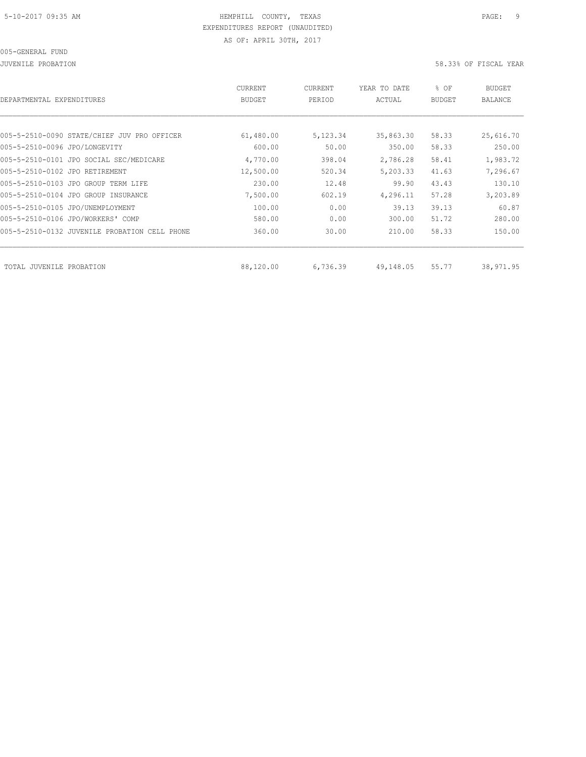| DEPARTMENTAL EXPENDITURES                     | <b>CURRENT</b><br><b>BUDGET</b> | CURRENT<br>PERIOD | YEAR TO DATE<br>ACTUAL | % OF<br><b>BUDGET</b> | BUDGET<br>BALANCE |
|-----------------------------------------------|---------------------------------|-------------------|------------------------|-----------------------|-------------------|
|                                               |                                 |                   |                        |                       |                   |
| 005-5-2510-0090 STATE/CHIEF JUV PRO OFFICER   | 61,480.00                       | 5,123.34          | 35,863.30              | 58.33                 | 25,616.70         |
| 005-5-2510-0096 JPO/LONGEVITY                 | 600.00                          | 50.00             | 350.00                 | 58.33                 | 250.00            |
| 005-5-2510-0101 JPO SOCIAL SEC/MEDICARE       | 4,770.00                        | 398.04            | 2,786.28               | 58.41                 | 1,983.72          |
| 005-5-2510-0102 JPO RETIREMENT                | 12,500.00                       | 520.34            | 5,203.33               | 41.63                 | 7,296.67          |
| 005-5-2510-0103 JPO GROUP TERM LIFE           | 230.00                          | 12.48             | 99.90                  | 43.43                 | 130.10            |
| 005-5-2510-0104 JPO GROUP INSURANCE           | 7,500.00                        | 602.19            | 4,296.11               | 57.28                 | 3,203.89          |
| 005-5-2510-0105 JPO/UNEMPLOYMENT              | 100.00                          | 0.00              | 39.13                  | 39.13                 | 60.87             |
| 005-5-2510-0106 JPO/WORKERS' COMP             | 580.00                          | 0.00              | 300.00                 | 51.72                 | 280.00            |
| 005-5-2510-0132 JUVENILE PROBATION CELL PHONE | 360.00                          | 30.00             | 210.00                 | 58.33                 | 150.00            |
|                                               |                                 |                   |                        |                       |                   |
| TOTAL JUVENILE PROBATION                      | 88,120.00                       | 6,736.39          | 49,148.05              | 55.77                 | 38,971.95         |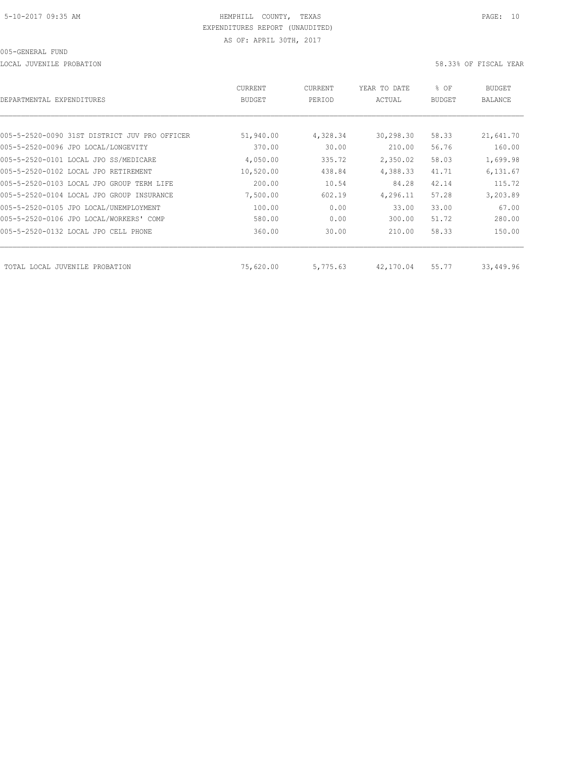LOCAL JUVENILE PROBATION 58.33% OF FISCAL YEAR

| DEPARTMENTAL EXPENDITURES                     | CURRENT<br><b>BUDGET</b> | CURRENT<br>PERIOD | YEAR TO DATE<br>ACTUAL | % OF<br><b>BUDGET</b> | <b>BUDGET</b><br>BALANCE |
|-----------------------------------------------|--------------------------|-------------------|------------------------|-----------------------|--------------------------|
|                                               |                          |                   |                        |                       |                          |
| 005-5-2520-0090 31ST DISTRICT JUV PRO OFFICER | 51,940.00                | 4,328.34          | 30,298.30              | 58.33                 | 21,641.70                |
| 005-5-2520-0096 JPO LOCAL/LONGEVITY           | 370.00                   | 30.00             | 210.00                 | 56.76                 | 160.00                   |
| 005-5-2520-0101 LOCAL JPO SS/MEDICARE         | 4,050.00                 | 335.72            | 2,350.02               | 58.03                 | 1,699.98                 |
| 005-5-2520-0102 LOCAL JPO RETIREMENT          | 10,520.00                | 438.84            | 4,388.33               | 41.71                 | 6,131.67                 |
| 005-5-2520-0103 LOCAL JPO GROUP TERM LIFE     | 200.00                   | 10.54             | 84.28                  | 42.14                 | 115.72                   |
| 005-5-2520-0104 LOCAL JPO GROUP INSURANCE     | 7,500.00                 | 602.19            | 4,296.11               | 57.28                 | 3,203.89                 |
| 005-5-2520-0105 JPO LOCAL/UNEMPLOYMENT        | 100.00                   | 0.00              | 33.00                  | 33.00                 | 67.00                    |
| 005-5-2520-0106 JPO LOCAL/WORKERS' COMP       | 580.00                   | 0.00              | 300.00                 | 51.72                 | 280.00                   |
| 005-5-2520-0132 LOCAL JPO CELL PHONE          | 360.00                   | 30.00             | 210.00                 | 58.33                 | 150.00                   |
|                                               |                          |                   |                        |                       |                          |
| TOTAL LOCAL JUVENILE PROBATION                | 75,620.00                | 5,775.63          | 42,170.04              | 55.77                 | 33,449.96                |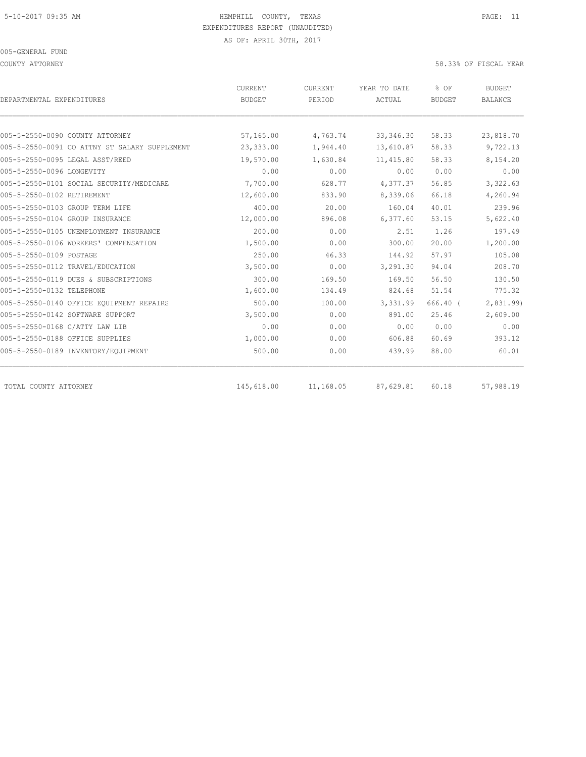COUNTY ATTORNEY 58.33% OF FISCAL YEAR

| DEPARTMENTAL EXPENDITURES                     | CURRENT<br><b>BUDGET</b> | CURRENT<br>PERIOD | YEAR TO DATE<br>ACTUAL | % OF<br><b>BUDGET</b> | <b>BUDGET</b><br><b>BALANCE</b> |
|-----------------------------------------------|--------------------------|-------------------|------------------------|-----------------------|---------------------------------|
|                                               |                          |                   |                        |                       |                                 |
| 005-5-2550-0090 COUNTY ATTORNEY               | 57,165.00                | 4,763.74          | 33, 346.30             | 58.33                 | 23,818.70                       |
| 005-5-2550-0091 CO ATTNY ST SALARY SUPPLEMENT | 23,333.00                | 1,944.40          | 13,610.87              | 58.33                 | 9,722.13                        |
| 005-5-2550-0095 LEGAL ASST/REED               | 19,570.00                | 1,630.84          | 11, 415.80             | 58.33                 | 8,154.20                        |
| 005-5-2550-0096 LONGEVITY                     | 0.00                     | 0.00              | 0.00                   | 0.00                  | 0.00                            |
| 005-5-2550-0101 SOCIAL SECURITY/MEDICARE      | 7,700.00                 | 628.77            | 4,377.37               | 56.85                 | 3,322.63                        |
| 005-5-2550-0102 RETIREMENT                    | 12,600.00                | 833.90            | 8,339.06               | 66.18                 | 4,260.94                        |
| 005-5-2550-0103 GROUP TERM LIFE               | 400.00                   | 20.00             | 160.04                 | 40.01                 | 239.96                          |
| 005-5-2550-0104 GROUP INSURANCE               | 12,000.00                | 896.08            | 6,377.60               | 53.15                 | 5,622.40                        |
| 005-5-2550-0105 UNEMPLOYMENT INSURANCE        | 200.00                   | 0.00              | 2.51                   | 1.26                  | 197.49                          |
| 005-5-2550-0106 WORKERS' COMPENSATION         | 1,500.00                 | 0.00              | 300.00                 | 20.00                 | 1,200.00                        |
| 005-5-2550-0109 POSTAGE                       | 250.00                   | 46.33             | 144.92                 | 57.97                 | 105.08                          |
| 005-5-2550-0112 TRAVEL/EDUCATION              | 3,500.00                 | 0.00              | 3,291.30               | 94.04                 | 208.70                          |
| 005-5-2550-0119 DUES & SUBSCRIPTIONS          | 300.00                   | 169.50            | 169.50                 | 56.50                 | 130.50                          |
| 005-5-2550-0132 TELEPHONE                     | 1,600.00                 | 134.49            | 824.68                 | 51.54                 | 775.32                          |
| 005-5-2550-0140 OFFICE EOUIPMENT REPAIRS      | 500.00                   | 100.00            | 3,331.99               | 666.40 (              | 2,831.99)                       |
| 005-5-2550-0142 SOFTWARE SUPPORT              | 3,500.00                 | 0.00              | 891.00                 | 25.46                 | 2,609.00                        |
| 005-5-2550-0168 C/ATTY LAW LIB                | 0.00                     | 0.00              | 0.00                   | 0.00                  | 0.00                            |
| 005-5-2550-0188 OFFICE SUPPLIES               | 1,000.00                 | 0.00              | 606.88                 | 60.69                 | 393.12                          |
| 005-5-2550-0189 INVENTORY/EQUIPMENT           | 500.00                   | 0.00              | 439.99                 | 88.00                 | 60.01                           |
| TOTAL COUNTY ATTORNEY                         | 145,618.00               | 11,168.05         | 87,629.81              | 60.18                 | 57,988.19                       |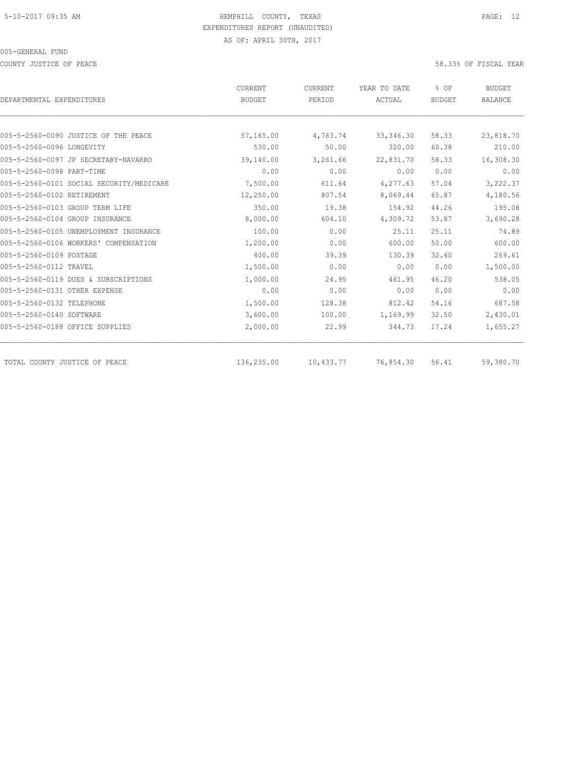COUNTY JUSTICE OF PEACE THE SECOND SERVICE OF PEACE AND SOLUTION OF SECOND SERVICE OF FISCAL YEAR

|                                          | <b>CURRENT</b> | CURRENT   | YEAR TO DATE | % OF          | <b>BUDGET</b>  |
|------------------------------------------|----------------|-----------|--------------|---------------|----------------|
| DEPARTMENTAL EXPENDITURES                | <b>BUDGET</b>  | PERIOD    | ACTUAL       | <b>BUDGET</b> | <b>BALANCE</b> |
|                                          |                |           |              |               |                |
| 005-5-2560-0090 JUSTICE OF THE PEACE     | 57,165.00      | 4,763.74  | 33, 346.30   | 58.33         | 23,818.70      |
| 005-5-2560-0096 LONGEVITY                | 530.00         | 50.00     | 320.00       | 60.38         | 210.00         |
| 005-5-2560-0097 JP SECRETARY-NAVARRO     | 39,140.00      | 3,261.66  | 22,831.70    | 58.33         | 16,308.30      |
| 005-5-2560-0098 PART-TIME                | 0.00           | 0.00      | 0.00         | 0.00          | 0.00           |
| 005-5-2560-0101 SOCIAL SECURITY/MEDICARE | 7,500.00       | 611.64    | 4,277.63     | 57.04         | 3,222.37       |
| 005-5-2560-0102 RETIREMENT               | 12,250.00      | 807.54    | 8,069.44     | 65.87         | 4,180.56       |
| 005-5-2560-0103 GROUP TERM LIFE          | 350.00         | 19.38     | 154.92       | 44.26         | 195.08         |
| 005-5-2560-0104 GROUP INSURANCE          | 8,000.00       | 604.10    | 4,309.72     | 53.87         | 3,690.28       |
| 005-5-2560-0105 UNEMPLOYMENT INSURANCE   | 100.00         | 0.00      | 25.11        | 25.11         | 74.89          |
| 005-5-2560-0106 WORKERS' COMPENSATION    | 1,200.00       | 0.00      | 600.00       | 50.00         | 600.00         |
| 005-5-2560-0109 POSTAGE                  | 400.00         | 39.39     | 130.39       | 32.60         | 269.61         |
| 005-5-2560-0112 TRAVEL                   | 1,500.00       | 0.00      | 0.00         | 0.00          | 1,500.00       |
| 005-5-2560-0119 DUES & SUBSCRIPTIONS     | 1,000.00       | 24.95     | 461.95       | 46.20         | 538.05         |
| 005-5-2560-0131 OTHER EXPENSE            | 0.00           | 0.00      | 0.00         | 0.00          | 0.00           |
| 005-5-2560-0132 TELEPHONE                | 1,500.00       | 128.38    | 812.42       | 54.16         | 687.58         |
| 005-5-2560-0140 SOFTWARE                 | 3,600.00       | 100.00    | 1,169.99     | 32.50         | 2,430.01       |
| 005-5-2560-0188 OFFICE SUPPLIES          | 2,000.00       | 22.99     | 344.73       | 17.24         | 1,655.27       |
| TOTAL COUNTY JUSTICE OF PEACE            | 136,235.00     | 10,433.77 | 76,854.30    | 56.41         | 59,380.70      |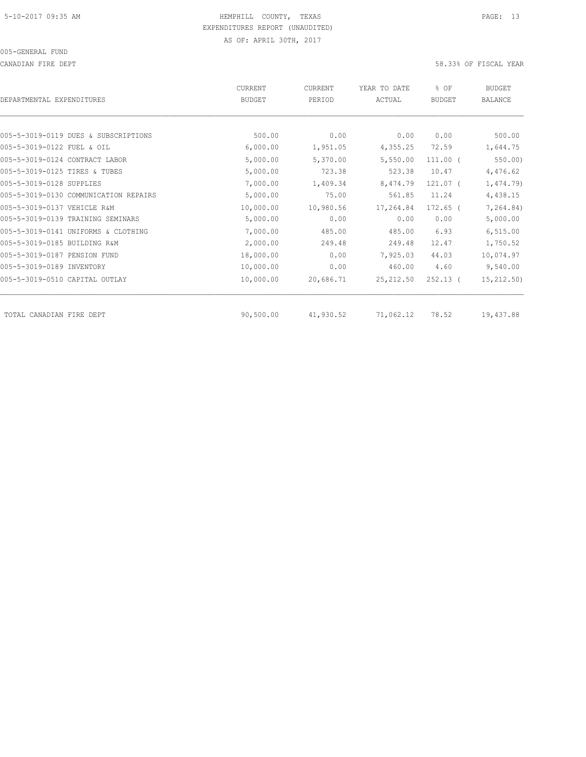CANADIAN FIRE DEPT 58.33% OF FISCAL YEAR

| DEPARTMENTAL EXPENDITURES             | CURRENT<br><b>BUDGET</b> | CURRENT<br>PERIOD | YEAR TO DATE<br>ACTUAL | % OF<br><b>BUDGET</b> | <b>BUDGET</b><br><b>BALANCE</b> |
|---------------------------------------|--------------------------|-------------------|------------------------|-----------------------|---------------------------------|
|                                       |                          |                   |                        |                       |                                 |
| 005-5-3019-0119 DUES & SUBSCRIPTIONS  | 500.00                   | 0.00              | 0.00                   | 0.00                  | 500.00                          |
| 005-5-3019-0122 FUEL & OIL            | 6,000.00                 | 1,951.05          | 4,355.25               | 72.59                 | 1,644.75                        |
| 005-5-3019-0124 CONTRACT LABOR        | 5,000.00                 | 5,370.00          | 5,550.00               | $111.00$ (            | 550.00                          |
| 005-5-3019-0125 TIRES & TUBES         | 5,000.00                 | 723.38            | 523.38                 | 10.47                 | 4,476.62                        |
| 005-5-3019-0128 SUPPLIES              | 7,000.00                 | 1,409.34          | 8,474.79               | 121.07 <sub>0</sub>   | 1,474.79)                       |
| 005-5-3019-0130 COMMUNICATION REPAIRS | 5,000.00                 | 75.00             | 561.85                 | 11.24                 | 4,438.15                        |
| 005-5-3019-0137 VEHICLE R&M           | 10,000.00                | 10,980.56         | 17,264.84              | $172.65$ (            | 7,264.84)                       |
| 005-5-3019-0139 TRAINING SEMINARS     | 5,000.00                 | 0.00              | 0.00                   | 0.00                  | 5,000.00                        |
| 005-5-3019-0141 UNIFORMS & CLOTHING   | 7,000.00                 | 485.00            | 485.00                 | 6.93                  | 6, 515.00                       |
| 005-5-3019-0185 BUILDING R&M          | 2,000.00                 | 249.48            | 249.48                 | 12.47                 | 1,750.52                        |
| 005-5-3019-0187 PENSION FUND          | 18,000.00                | 0.00              | 7,925.03               | 44.03                 | 10,074.97                       |
| 005-5-3019-0189 INVENTORY             | 10,000.00                | 0.00              | 460.00                 | 4.60                  | 9,540.00                        |
| 005-5-3019-0510 CAPITAL OUTLAY        | 10,000.00                | 20,686.71         | 25, 212.50             | $252.13$ (            | 15, 212.50)                     |
| TOTAL CANADIAN FIRE DEPT              | 90,500.00                | 41,930.52         | 71,062.12              | 78.52                 | 19,437.88                       |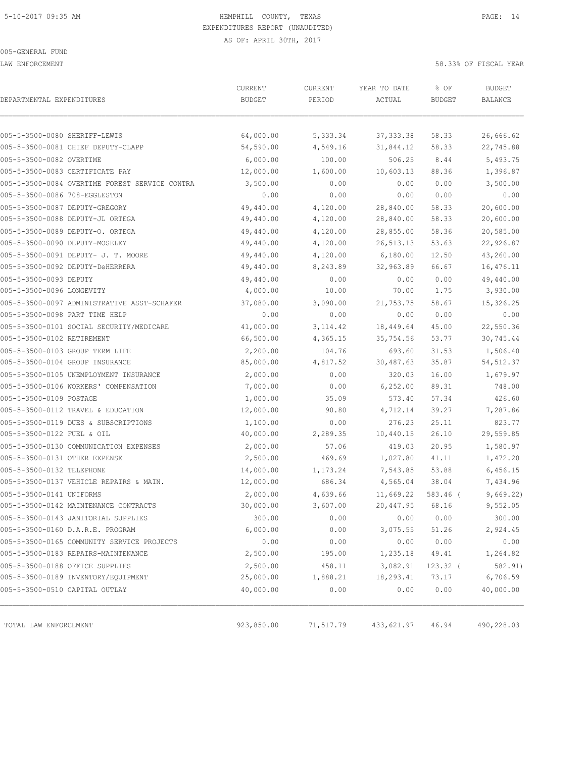LAW ENFORCEMENT 58.33% OF FISCAL YEAR

| DEPARTMENTAL EXPENDITURES                      | CURRENT<br><b>BUDGET</b> | CURRENT<br>PERIOD | YEAR TO DATE<br>ACTUAL | % OF<br><b>BUDGET</b> | <b>BUDGET</b><br><b>BALANCE</b> |
|------------------------------------------------|--------------------------|-------------------|------------------------|-----------------------|---------------------------------|
|                                                |                          |                   |                        |                       |                                 |
| 005-5-3500-0080 SHERIFF-LEWIS                  | 64,000.00                | 5,333.34          | 37, 333.38             | 58.33                 | 26,666.62                       |
| 005-5-3500-0081 CHIEF DEPUTY-CLAPP             | 54,590.00                | 4,549.16          | 31,844.12              | 58.33                 | 22,745.88                       |
| 005-5-3500-0082 OVERTIME                       | 6,000.00                 | 100.00            | 506.25                 | 8.44                  | 5,493.75                        |
| 005-5-3500-0083 CERTIFICATE PAY                | 12,000.00                | 1,600.00          | 10,603.13              | 88.36                 | 1,396.87                        |
| 005-5-3500-0084 OVERTIME FOREST SERVICE CONTRA | 3,500.00                 | 0.00              | 0.00                   | 0.00                  | 3,500.00                        |
| 005-5-3500-0086 708-EGGLESTON                  | 0.00                     | 0.00              | 0.00                   | 0.00                  | 0.00                            |
| 005-5-3500-0087 DEPUTY-GREGORY                 | 49,440.00                | 4,120.00          | 28,840.00              | 58.33                 | 20,600.00                       |
| 005-5-3500-0088 DEPUTY-JL ORTEGA               | 49,440.00                | 4,120.00          | 28,840.00              | 58.33                 | 20,600.00                       |
| 005-5-3500-0089 DEPUTY-O. ORTEGA               | 49,440.00                | 4,120.00          | 28,855.00              | 58.36                 | 20,585.00                       |
| 005-5-3500-0090 DEPUTY-MOSELEY                 | 49,440.00                | 4,120.00          | 26,513.13              | 53.63                 | 22,926.87                       |
| 005-5-3500-0091 DEPUTY- J. T. MOORE            | 49,440.00                | 4,120.00          | 6,180.00               | 12.50                 | 43,260.00                       |
| 005-5-3500-0092 DEPUTY-DeHERRERA               | 49,440.00                | 8,243.89          | 32,963.89              | 66.67                 | 16,476.11                       |
| 005-5-3500-0093 DEPUTY                         | 49,440.00                | 0.00              | 0.00                   | 0.00                  | 49,440.00                       |
| 005-5-3500-0096 LONGEVITY                      | 4,000.00                 | 10.00             | 70.00                  | 1.75                  | 3,930.00                        |
| 005-5-3500-0097 ADMINISTRATIVE ASST-SCHAFER    | 37,080.00                | 3,090.00          | 21,753.75              | 58.67                 | 15,326.25                       |
| 005-5-3500-0098 PART TIME HELP                 | 0.00                     | 0.00              | 0.00                   | 0.00                  | 0.00                            |
| 005-5-3500-0101 SOCIAL SECURITY/MEDICARE       | 41,000.00                | 3, 114.42         | 18,449.64              | 45.00                 | 22,550.36                       |
| 005-5-3500-0102 RETIREMENT                     | 66,500.00                | 4,365.15          | 35,754.56              | 53.77                 | 30,745.44                       |
| 005-5-3500-0103 GROUP TERM LIFE                | 2,200.00                 | 104.76            | 693.60                 | 31.53                 | 1,506.40                        |
| 005-5-3500-0104 GROUP INSURANCE                | 85,000.00                | 4,817.52          | 30,487.63              | 35.87                 | 54, 512.37                      |
| 005-5-3500-0105 UNEMPLOYMENT INSURANCE         | 2,000.00                 | 0.00              | 320.03                 | 16.00                 | 1,679.97                        |
| 005-5-3500-0106 WORKERS' COMPENSATION          | 7,000.00                 | 0.00              | 6,252.00               | 89.31                 | 748.00                          |
| 005-5-3500-0109 POSTAGE                        | 1,000.00                 | 35.09             | 573.40                 | 57.34                 | 426.60                          |
| 005-5-3500-0112 TRAVEL & EDUCATION             | 12,000.00                | 90.80             | 4,712.14               | 39.27                 | 7,287.86                        |
| 005-5-3500-0119 DUES & SUBSCRIPTIONS           | 1,100.00                 | 0.00              | 276.23                 | 25.11                 | 823.77                          |
| 005-5-3500-0122 FUEL & OIL                     | 40,000.00                | 2,289.35          | 10,440.15              | 26.10                 | 29,559.85                       |
| 005-5-3500-0130 COMMUNICATION EXPENSES         | 2,000.00                 | 57.06             | 419.03                 | 20.95                 | 1,580.97                        |
| 005-5-3500-0131 OTHER EXPENSE                  | 2,500.00                 | 469.69            | 1,027.80               | 41.11                 | 1,472.20                        |
| 005-5-3500-0132 TELEPHONE                      | 14,000.00                | 1,173.24          | 7,543.85               | 53.88                 | 6,456.15                        |
| 005-5-3500-0137 VEHICLE REPAIRS & MAIN.        | 12,000.00                | 686.34            | 4,565.04               | 38.04                 | 7,434.96                        |
| 005-5-3500-0141 UNIFORMS                       | 2,000.00                 | 4,639.66          | 11,669.22              | 583.46 (              | 9,669.22)                       |
| 005-5-3500-0142 MAINTENANCE CONTRACTS          | 30,000.00                | 3,607.00          | 20,447.95              | 68.16                 | 9,552.05                        |
| 005-5-3500-0143 JANITORIAL SUPPLIES            | 300.00                   | 0.00              | 0.00                   | 0.00                  | 300.00                          |
| 005-5-3500-0160 D.A.R.E. PROGRAM               | 6,000.00                 | 0.00              | 3,075.55               | 51.26                 | 2,924.45                        |
| 005-5-3500-0165 COMMUNITY SERVICE PROJECTS     | 0.00                     | 0.00              | 0.00                   | 0.00                  | 0.00                            |
| 005-5-3500-0183 REPAIRS-MAINTENANCE            | 2,500.00                 | 195.00            | 1,235.18               | 49.41                 | 1,264.82                        |
| 005-5-3500-0188 OFFICE SUPPLIES                | 2,500.00                 | 458.11            | 3,082.91               | $123.32$ (            | 582.91)                         |
| 005-5-3500-0189 INVENTORY/EQUIPMENT            | 25,000.00                | 1,888.21          | 18,293.41              | 73.17                 | 6,706.59                        |
| 005-5-3500-0510 CAPITAL OUTLAY                 | 40,000.00                | 0.00              | 0.00                   | 0.00                  | 40,000.00                       |
|                                                |                          |                   |                        |                       |                                 |
| TOTAL LAW ENFORCEMENT                          | 923,850.00               | 71,517.79         | 433,621.97             | 46.94                 | 490,228.03                      |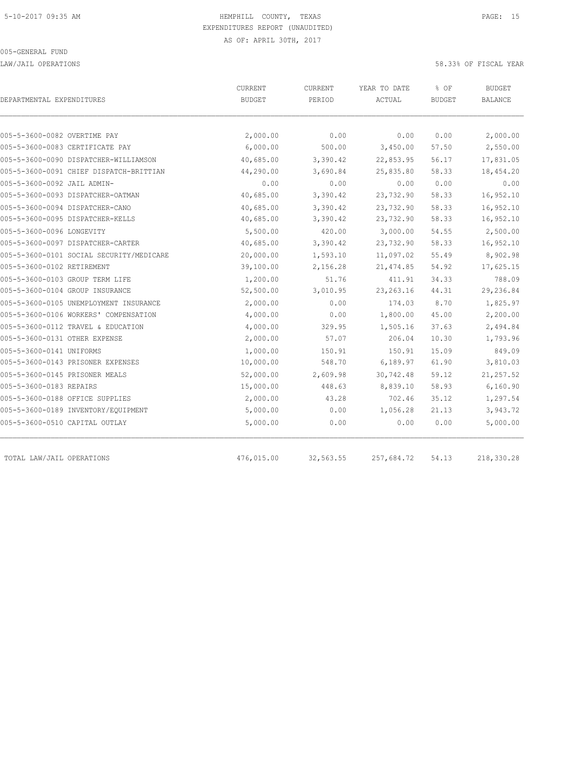LAW/JAIL OPERATIONS 58.33% OF FISCAL YEAR

|                                 |                                          | CURRENT       | CURRENT   | YEAR TO DATE | % OF          | <b>BUDGET</b> |
|---------------------------------|------------------------------------------|---------------|-----------|--------------|---------------|---------------|
| DEPARTMENTAL EXPENDITURES       |                                          | <b>BUDGET</b> | PERIOD    | ACTUAL       | <b>BUDGET</b> | BALANCE       |
| 005-5-3600-0082 OVERTIME PAY    |                                          | 2,000.00      | 0.00      | 0.00         | 0.00          | 2,000.00      |
|                                 | 005-5-3600-0083 CERTIFICATE PAY          | 6,000.00      | 500.00    | 3,450.00     | 57.50         | 2,550.00      |
|                                 | 005-5-3600-0090 DISPATCHER-WILLIAMSON    | 40,685.00     | 3,390.42  | 22,853.95    | 56.17         | 17,831.05     |
|                                 | 005-5-3600-0091 CHIEF DISPATCH-BRITTIAN  | 44,290.00     | 3,690.84  | 25,835.80    | 58.33         | 18,454.20     |
| 005-5-3600-0092 JAIL ADMIN-     |                                          | 0.00          | 0.00      | 0.00         | 0.00          | 0.00          |
|                                 | 005-5-3600-0093 DISPATCHER-OATMAN        | 40,685.00     | 3,390.42  | 23,732.90    | 58.33         | 16,952.10     |
| 005-5-3600-0094 DISPATCHER-CANO |                                          | 40,685.00     | 3,390.42  | 23,732.90    | 58.33         | 16,952.10     |
|                                 | 005-5-3600-0095 DISPATCHER-KELLS         | 40,685.00     | 3,390.42  | 23,732.90    | 58.33         | 16,952.10     |
| 005-5-3600-0096 LONGEVITY       |                                          | 5,500.00      | 420.00    | 3,000.00     | 54.55         | 2,500.00      |
|                                 | 005-5-3600-0097 DISPATCHER-CARTER        | 40,685.00     | 3,390.42  | 23,732.90    | 58.33         | 16,952.10     |
|                                 | 005-5-3600-0101 SOCIAL SECURITY/MEDICARE | 20,000.00     | 1,593.10  | 11,097.02    | 55.49         | 8,902.98      |
| 005-5-3600-0102 RETIREMENT      |                                          | 39,100.00     | 2,156.28  | 21, 474.85   | 54.92         | 17,625.15     |
| 005-5-3600-0103 GROUP TERM LIFE |                                          | 1,200.00      | 51.76     | 411.91       | 34.33         | 788.09        |
| 005-5-3600-0104 GROUP INSURANCE |                                          | 52,500.00     | 3,010.95  | 23, 263. 16  | 44.31         | 29,236.84     |
|                                 | 005-5-3600-0105 UNEMPLOYMENT INSURANCE   | 2,000.00      | 0.00      | 174.03       | 8.70          | 1,825.97      |
|                                 | 005-5-3600-0106 WORKERS' COMPENSATION    | 4,000.00      | 0.00      | 1,800.00     | 45.00         | 2,200.00      |
|                                 | 005-5-3600-0112 TRAVEL & EDUCATION       | 4,000.00      | 329.95    | 1,505.16     | 37.63         | 2,494.84      |
| 005-5-3600-0131 OTHER EXPENSE   |                                          | 2,000.00      | 57.07     | 206.04       | 10.30         | 1,793.96      |
| 005-5-3600-0141 UNIFORMS        |                                          | 1,000.00      | 150.91    | 150.91       | 15.09         | 849.09        |
|                                 | 005-5-3600-0143 PRISONER EXPENSES        | 10,000.00     | 548.70    | 6,189.97     | 61.90         | 3,810.03      |
| 005-5-3600-0145 PRISONER MEALS  |                                          | 52,000.00     | 2,609.98  | 30,742.48    | 59.12         | 21, 257.52    |
| 005-5-3600-0183 REPAIRS         |                                          | 15,000.00     | 448.63    | 8,839.10     | 58.93         | 6,160.90      |
|                                 | 005-5-3600-0188 OFFICE SUPPLIES          | 2,000.00      | 43.28     | 702.46       | 35.12         | 1,297.54      |
|                                 | 005-5-3600-0189 INVENTORY/EQUIPMENT      | 5,000.00      | 0.00      | 1,056.28     | 21.13         | 3,943.72      |
| 005-5-3600-0510 CAPITAL OUTLAY  |                                          | 5,000.00      | 0.00      | 0.00         | 0.00          | 5,000.00      |
| TOTAL LAW/JAIL OPERATIONS       |                                          | 476,015.00    | 32,563.55 | 257,684.72   | 54.13         | 218,330.28    |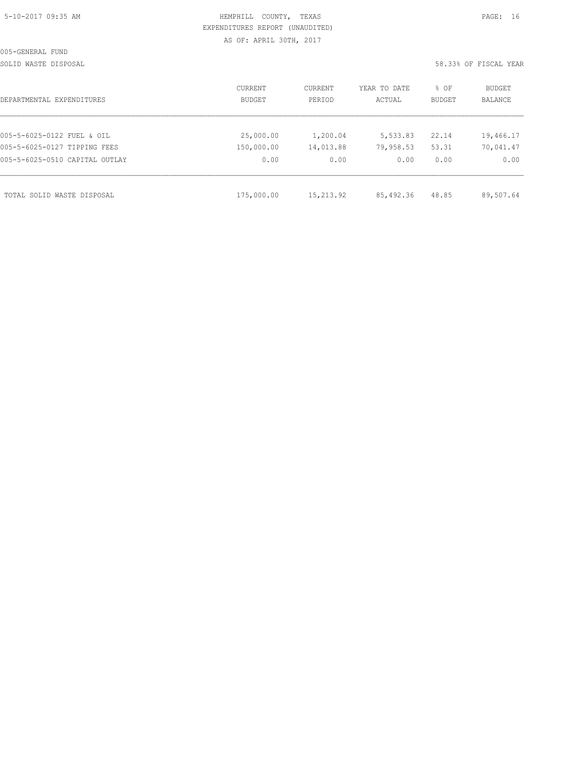| 5-10-2017 09:35 AM |  |
|--------------------|--|
|                    |  |

# HEMPHILL COUNTY, TEXAS **Example 20:35 AM HEMPHILL** COUNTY, TEXAS EXPENDITURES REPORT (UNAUDITED) AS OF: APRIL 30TH, 2017

SOLID WASTE DISPOSAL 58.33% OF FISCAL YEAR

| DEPARTMENTAL EXPENDITURES      | CURRENT<br><b>BUDGET</b> | CURRENT<br>PERIOD | YEAR TO DATE<br>ACTUAL | % OF<br><b>BUDGET</b> | BUDGET<br><b>BALANCE</b> |
|--------------------------------|--------------------------|-------------------|------------------------|-----------------------|--------------------------|
|                                |                          |                   |                        |                       |                          |
| 005-5-6025-0122 FUEL & OIL     | 25,000.00                | 1,200.04          | 5,533.83               | 22.14                 | 19,466.17                |
| 005-5-6025-0127 TIPPING FEES   | 150,000.00               | 14,013.88         | 79,958.53              | 53.31                 | 70,041.47                |
| 005-5-6025-0510 CAPITAL OUTLAY | 0.00                     | 0.00              | 0.00                   | 0.00                  | 0.00                     |
|                                |                          |                   |                        |                       |                          |
| TOTAL SOLID WASTE DISPOSAL     | 175,000.00               | 15, 213, 92       | 85,492.36              | 48.85                 | 89,507.64                |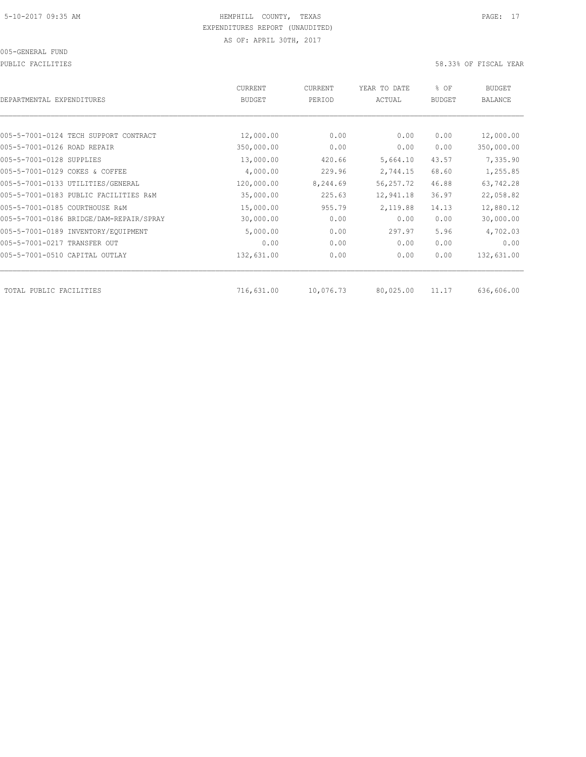PUBLIC FACILITIES 58.33% OF FISCAL YEAR

| DEPARTMENTAL EXPENDITURES               | <b>CURRENT</b><br><b>BUDGET</b> | CURRENT<br>PERIOD | YEAR TO DATE<br>ACTUAL | % OF<br><b>BUDGET</b> | BUDGET<br><b>BALANCE</b> |
|-----------------------------------------|---------------------------------|-------------------|------------------------|-----------------------|--------------------------|
|                                         |                                 |                   |                        |                       |                          |
| 005-5-7001-0124 TECH SUPPORT CONTRACT   | 12,000.00                       | 0.00              | 0.00                   | 0.00                  | 12,000.00                |
| 005-5-7001-0126 ROAD REPAIR             | 350,000.00                      | 0.00              | 0.00                   | 0.00                  | 350,000.00               |
| 005-5-7001-0128 SUPPLIES                | 13,000.00                       | 420.66            | 5,664.10               | 43.57                 | 7,335.90                 |
| 005-5-7001-0129 COKES & COFFEE          | 4,000.00                        | 229.96            | 2,744.15               | 68.60                 | 1,255.85                 |
| 005-5-7001-0133 UTILITIES/GENERAL       | 120,000.00                      | 8,244.69          | 56, 257.72             | 46.88                 | 63,742.28                |
| 005-5-7001-0183 PUBLIC FACILITIES R&M   | 35,000.00                       | 225.63            | 12,941.18              | 36.97                 | 22,058.82                |
| 005-5-7001-0185 COURTHOUSE R&M          | 15,000.00                       | 955.79            | 2,119.88               | 14.13                 | 12,880.12                |
| 005-5-7001-0186 BRIDGE/DAM-REPAIR/SPRAY | 30,000.00                       | 0.00              | 0.00                   | 0.00                  | 30,000.00                |
| 005-5-7001-0189 INVENTORY/EQUIPMENT     | 5,000.00                        | 0.00              | 297.97                 | 5.96                  | 4,702.03                 |
| 005-5-7001-0217 TRANSFER OUT            | 0.00                            | 0.00              | 0.00                   | 0.00                  | 0.00                     |
| 005-5-7001-0510 CAPITAL OUTLAY          | 132,631.00                      | 0.00              | 0.00                   | 0.00                  | 132,631.00               |
| TOTAL PUBLIC FACILITIES                 | 716,631.00                      | 10,076.73         | 80,025.00              | 11.17                 | 636,606.00               |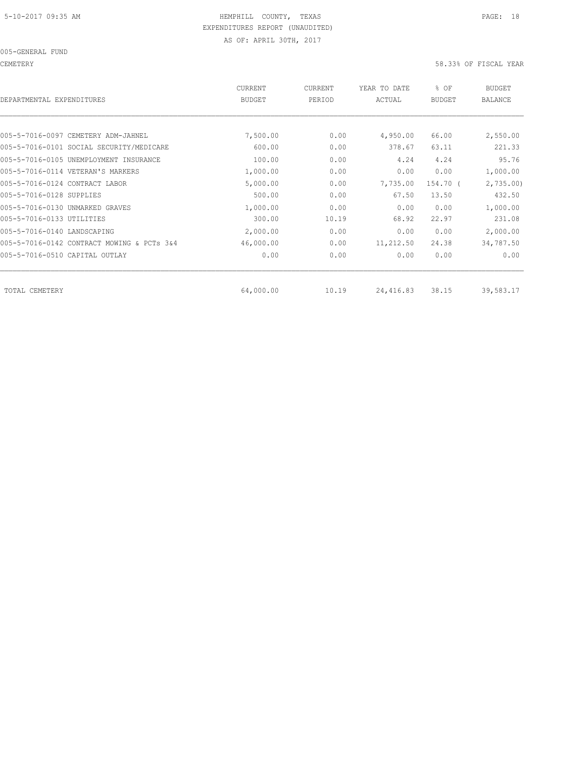CEMETERY 58.33% OF FISCAL YEAR

| DEPARTMENTAL EXPENDITURES                  | CURRENT<br><b>BUDGET</b> | CURRENT<br>PERIOD | YEAR TO DATE<br>ACTUAL | % OF<br><b>BUDGET</b> | <b>BUDGET</b><br><b>BALANCE</b> |
|--------------------------------------------|--------------------------|-------------------|------------------------|-----------------------|---------------------------------|
|                                            |                          |                   |                        |                       |                                 |
| 005-5-7016-0097 CEMETERY ADM-JAHNEL        | 7,500.00                 | 0.00              | 4,950.00               | 66.00                 | 2,550.00                        |
| 005-5-7016-0101 SOCIAL SECURITY/MEDICARE   | 600.00                   | 0.00              | 378.67                 | 63.11                 | 221.33                          |
| 005-5-7016-0105 UNEMPLOYMENT INSURANCE     | 100.00                   | 0.00              | 4.24                   | 4.24                  | 95.76                           |
| 005-5-7016-0114 VETERAN'S MARKERS          | 1,000.00                 | 0.00              | 0.00                   | 0.00                  | 1,000.00                        |
| 005-5-7016-0124 CONTRACT LABOR             | 5,000.00                 | 0.00              | 7,735.00               | 154.70 (              | 2,735.00                        |
| 005-5-7016-0128 SUPPLIES                   | 500.00                   | 0.00              | 67.50                  | 13.50                 | 432.50                          |
| 005-5-7016-0130 UNMARKED GRAVES            | 1,000.00                 | 0.00              | 0.00                   | 0.00                  | 1,000.00                        |
| 005-5-7016-0133 UTILITIES                  | 300.00                   | 10.19             | 68.92                  | 22.97                 | 231.08                          |
| 005-5-7016-0140 LANDSCAPING                | 2,000.00                 | 0.00              | 0.00                   | 0.00                  | 2,000.00                        |
| 005-5-7016-0142 CONTRACT MOWING & PCTs 3&4 | 46,000.00                | 0.00              | 11,212.50              | 24.38                 | 34,787.50                       |
| 005-5-7016-0510 CAPITAL OUTLAY             | 0.00                     | 0.00              | 0.00                   | 0.00                  | 0.00                            |
| TOTAL CEMETERY                             | 64,000.00                | 10.19             | 24,416.83              | 38.15                 | 39,583.17                       |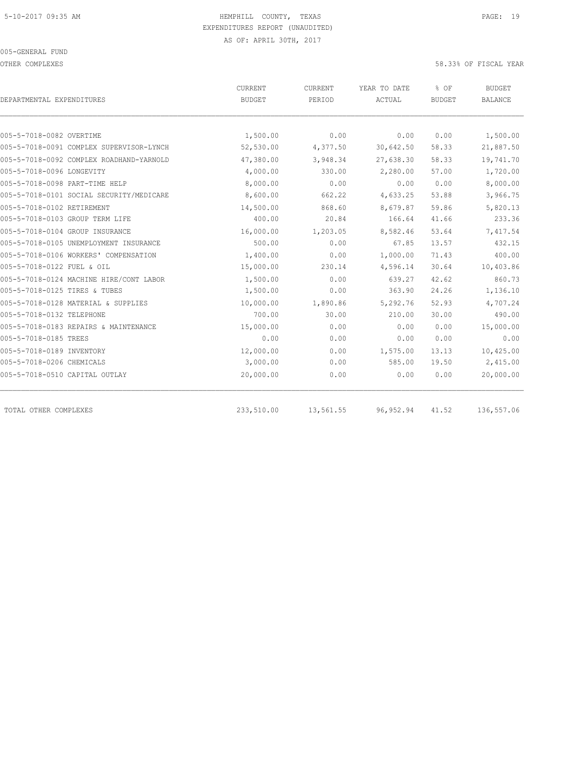OTHER COMPLEXES 58.33% OF FISCAL YEAR

|                                          | <b>CURRENT</b> | CURRENT   | YEAR TO DATE | % OF          | <b>BUDGET</b> |
|------------------------------------------|----------------|-----------|--------------|---------------|---------------|
| DEPARTMENTAL EXPENDITURES                | <b>BUDGET</b>  | PERIOD    | ACTUAL       | <b>BUDGET</b> | BALANCE       |
|                                          |                |           |              |               |               |
| 005-5-7018-0082 OVERTIME                 | 1,500.00       | 0.00      | 0.00         | 0.00          | 1,500.00      |
| 005-5-7018-0091 COMPLEX SUPERVISOR-LYNCH | 52,530.00      | 4,377.50  | 30,642.50    | 58.33         | 21,887.50     |
| 005-5-7018-0092 COMPLEX ROADHAND-YARNOLD | 47,380.00      | 3,948.34  | 27,638.30    | 58.33         | 19,741.70     |
| 005-5-7018-0096 LONGEVITY                | 4,000.00       | 330.00    | 2,280.00     | 57.00         | 1,720.00      |
| 005-5-7018-0098 PART-TIME HELP           | 8,000.00       | 0.00      | 0.00         | 0.00          | 8,000.00      |
| 005-5-7018-0101 SOCIAL SECURITY/MEDICARE | 8,600.00       | 662.22    | 4,633.25     | 53.88         | 3,966.75      |
| 005-5-7018-0102 RETIREMENT               | 14,500.00      | 868.60    | 8,679.87     | 59.86         | 5,820.13      |
| 005-5-7018-0103 GROUP TERM LIFE          | 400.00         | 20.84     | 166.64       | 41.66         | 233.36        |
| 005-5-7018-0104 GROUP INSURANCE          | 16,000.00      | 1,203.05  | 8,582.46     | 53.64         | 7,417.54      |
| 005-5-7018-0105 UNEMPLOYMENT INSURANCE   | 500.00         | 0.00      | 67.85        | 13.57         | 432.15        |
| 005-5-7018-0106 WORKERS' COMPENSATION    | 1,400.00       | 0.00      | 1,000.00     | 71.43         | 400.00        |
| 005-5-7018-0122 FUEL & OIL               | 15,000.00      | 230.14    | 4,596.14     | 30.64         | 10,403.86     |
| 005-5-7018-0124 MACHINE HIRE/CONT LABOR  | 1,500.00       | 0.00      | 639.27       | 42.62         | 860.73        |
| 005-5-7018-0125 TIRES & TUBES            | 1,500.00       | 0.00      | 363.90       | 24.26         | 1,136.10      |
| 005-5-7018-0128 MATERIAL & SUPPLIES      | 10,000.00      | 1,890.86  | 5,292.76     | 52.93         | 4,707.24      |
| 005-5-7018-0132 TELEPHONE                | 700.00         | 30.00     | 210.00       | 30.00         | 490.00        |
| 005-5-7018-0183 REPAIRS & MAINTENANCE    | 15,000.00      | 0.00      | 0.00         | 0.00          | 15,000.00     |
| 005-5-7018-0185 TREES                    | 0.00           | 0.00      | 0.00         | 0.00          | 0.00          |
| 005-5-7018-0189 INVENTORY                | 12,000.00      | 0.00      | 1,575.00     | 13.13         | 10,425.00     |
| 005-5-7018-0206 CHEMICALS                | 3,000.00       | 0.00      | 585.00       | 19.50         | 2,415.00      |
| 005-5-7018-0510 CAPITAL OUTLAY           | 20,000.00      | 0.00      | 0.00         | 0.00          | 20,000.00     |
| TOTAL OTHER COMPLEXES                    | 233,510.00     | 13,561.55 | 96, 952.94   | 41.52         | 136,557.06    |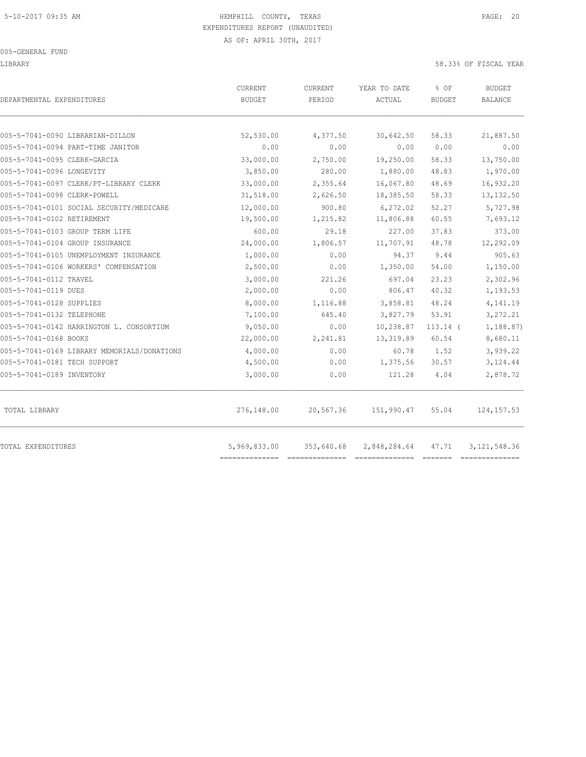LIBRARY 58.33% OF FISCAL YEAR

| DEPARTMENTAL EXPENDITURES                   | CURRENT<br>BUDGET | <b>CURRENT</b><br>PERIOD | YEAR TO DATE<br>ACTUAL | % OF<br><b>BUDGET</b> | BUDGET<br>BALANCE |
|---------------------------------------------|-------------------|--------------------------|------------------------|-----------------------|-------------------|
|                                             |                   |                          |                        |                       |                   |
| 005-5-7041-0090 LIBRARIAN-DILLON            | 52,530.00         | 4,377.50                 | 30,642.50              | 58.33                 | 21,887.50         |
| 005-5-7041-0094 PART-TIME JANITOR           | 0.00              | 0.00                     | 0.00                   | 0.00                  | 0.00              |
| 005-5-7041-0095 CLERK-GARCIA                | 33,000.00         | 2,750.00                 | 19,250.00              | 58.33                 | 13,750.00         |
| 005-5-7041-0096 LONGEVITY                   | 3,850.00          | 280.00                   | 1,880.00               | 48.83                 | 1,970.00          |
| 005-5-7041-0097 CLERK/PT-LIBRARY CLERK      | 33,000.00         | 2,355.64                 | 16,067.80              | 48.69                 | 16,932.20         |
| 005-5-7041-0098 CLERK-POWELL                | 31,518.00         | 2,626.50                 | 18,385.50              | 58.33                 | 13, 132.50        |
| 005-5-7041-0101 SOCIAL SECURITY/MEDICARE    | 12,000.00         | 900.80                   | 6,272.02               | 52.27                 | 5,727.98          |
| 005-5-7041-0102 RETIREMENT                  | 19,500.00         | 1,215.82                 | 11,806.88              | 60.55                 | 7,693.12          |
| 005-5-7041-0103 GROUP TERM LIFE             | 600.00            | 29.18                    | 227.00                 | 37.83                 | 373.00            |
| 005-5-7041-0104 GROUP INSURANCE             | 24,000.00         | 1,806.57                 | 11,707.91              | 48.78                 | 12,292.09         |
| 005-5-7041-0105 UNEMPLOYMENT INSURANCE      | 1,000.00          | 0.00                     | 94.37                  | 9.44                  | 905.63            |
| 005-5-7041-0106 WORKERS' COMPENSATION       | 2,500.00          | 0.00                     | 1,350.00               | 54.00                 | 1,150.00          |
| 005-5-7041-0112 TRAVEL                      | 3,000.00          | 221.26                   | 697.04                 | 23.23                 | 2,302.96          |
| 005-5-7041-0119 DUES                        | 2,000.00          | 0.00                     | 806.47                 | 40.32                 | 1,193.53          |
| 005-5-7041-0128 SUPPLIES                    | 8,000.00          | 1,116.88                 | 3,858.81               | 48.24                 | 4,141.19          |
| 005-5-7041-0132 TELEPHONE                   | 7,100.00          | 645.40                   | 3,827.79               | 53.91                 | 3,272.21          |
| 005-5-7041-0142 HARRINGTON L. CONSORTIUM    | 9,050.00          | 0.00                     | 10,238.87              | $113.14$ (            | 1,188.87)         |
| 005-5-7041-0168 BOOKS                       | 22,000.00         | 2,241.81                 | 13, 319.89             | 60.54                 | 8,680.11          |
| 005-5-7041-0169 LIBRARY MEMORIALS/DONATIONS | 4,000.00          | 0.00                     | 60.78                  | 1.52                  | 3,939.22          |
| 005-5-7041-0181 TECH SUPPORT                | 4,500.00          | 0.00                     | 1,375.56               | 30.57                 | 3,124.44          |
| 005-5-7041-0189 INVENTORY                   | 3,000.00          | 0.00                     | 121.28                 | 4.04                  | 2,878.72          |
| TOTAL LIBRARY                               | 276,148.00        | 20,567.36                | 151,990.47             | 55.04                 | 124, 157.53       |
| TOTAL EXPENDITURES                          | 5,969,833.00      | 353,640.68               | 2,848,284.64           | 47.71                 | 3, 121, 548.36    |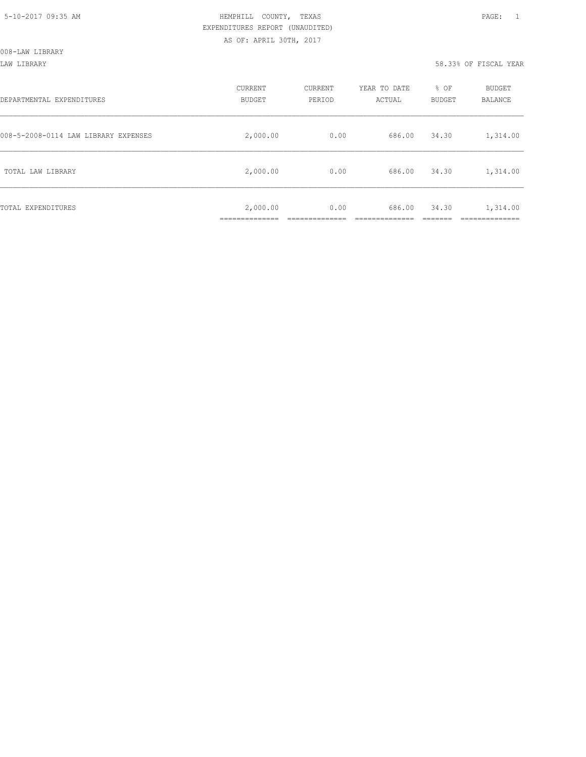#### LAW LIBRARY 58.33% OF FISCAL YEAR

| DEPARTMENTAL EXPENDITURES            | CURRENT<br><b>BUDGET</b> | CURRENT<br>PERIOD | YEAR TO DATE<br>ACTUAL | % OF<br>BUDGET | BUDGET<br>BALANCE |
|--------------------------------------|--------------------------|-------------------|------------------------|----------------|-------------------|
| 008-5-2008-0114 LAW LIBRARY EXPENSES | 2,000.00                 | 0.00              | 686.00                 | 34.30          | 1,314.00          |
| TOTAL LAW LIBRARY                    | 2,000.00                 | 0.00              | 686.00                 | 34.30          | 1,314.00          |
| TOTAL EXPENDITURES                   | 2,000.00<br>.            | 0.00              | 686.00                 | 34.30          | 1,314.00<br>.     |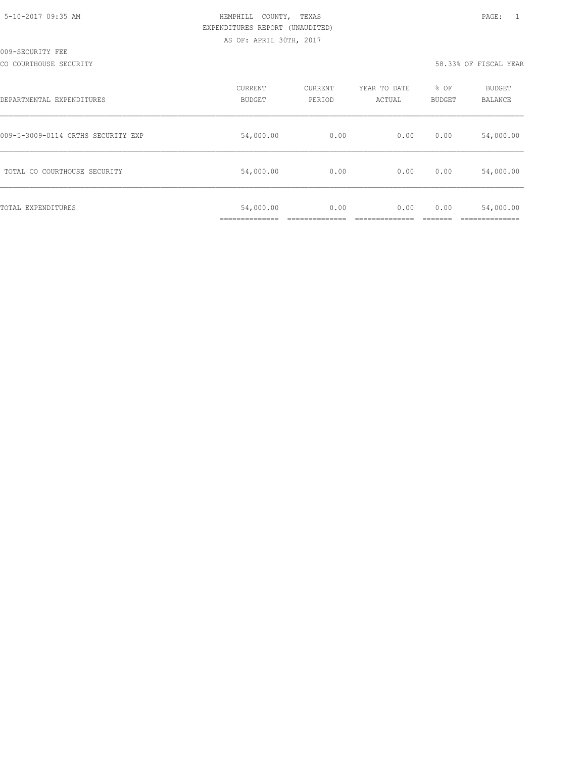CO COURTHOUSE SECURITY 58.33% OF FISCAL YEAR

| DEPARTMENTAL EXPENDITURES          | CURRENT<br><b>BUDGET</b> | CURRENT<br>PERIOD | YEAR TO DATE<br>ACTUAL | % OF<br><b>BUDGET</b> | BUDGET<br>BALANCE |
|------------------------------------|--------------------------|-------------------|------------------------|-----------------------|-------------------|
| 009-5-3009-0114 CRTHS SECURITY EXP | 54,000.00                | 0.00              | 0.00                   | 0.00                  | 54,000.00         |
| TOTAL CO COURTHOUSE SECURITY       | 54,000.00                | 0.00              | 0.00                   | 0.00                  | 54,000.00         |
| TOTAL EXPENDITURES                 | 54,000.00                | 0.00              | 0.00                   | 0.00                  | 54,000.00         |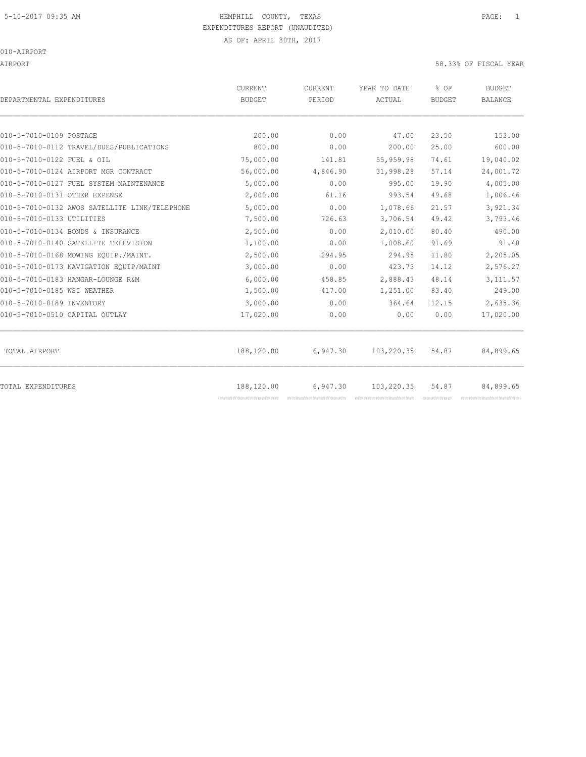AIRPORT 58.33% OF FISCAL YEAR

| DEPARTMENTAL EXPENDITURES                     | <b>CURRENT</b><br><b>BUDGET</b> | CURRENT<br>PERIOD | YEAR TO DATE<br>ACTUAL | % OF<br><b>BUDGET</b> | <b>BUDGET</b><br><b>BALANCE</b> |
|-----------------------------------------------|---------------------------------|-------------------|------------------------|-----------------------|---------------------------------|
|                                               |                                 |                   |                        |                       |                                 |
| 010-5-7010-0109 POSTAGE                       | 200.00                          | 0.00              | 47.00                  | 23.50                 | 153.00                          |
| 010-5-7010-0112 TRAVEL/DUES/PUBLICATIONS      | 800.00                          | 0.00              | 200.00                 | 25.00                 | 600.00                          |
| 010-5-7010-0122 FUEL & OIL                    | 75,000.00                       | 141.81            | 55,959.98              | 74.61                 | 19,040.02                       |
| 010-5-7010-0124 AIRPORT MGR CONTRACT          | 56,000.00                       | 4,846.90          | 31,998.28              | 57.14                 | 24,001.72                       |
| 010-5-7010-0127 FUEL SYSTEM MAINTENANCE       | 5,000.00                        | 0.00              | 995.00                 | 19.90                 | 4,005.00                        |
| 010-5-7010-0131 OTHER EXPENSE                 | 2,000.00                        | 61.16             | 993.54                 | 49.68                 | 1,006.46                        |
| 010-5-7010-0132 AWOS SATELLITE LINK/TELEPHONE | 5,000.00                        | 0.00              | 1,078.66               | 21.57                 | 3,921.34                        |
| 010-5-7010-0133 UTILITIES                     | 7,500.00                        | 726.63            | 3,706.54               | 49.42                 | 3,793.46                        |
| 010-5-7010-0134 BONDS & INSURANCE             | 2,500.00                        | 0.00              | 2,010.00               | 80.40                 | 490.00                          |
| 010-5-7010-0140 SATELLITE TELEVISION          | 1,100.00                        | 0.00              | 1,008.60               | 91.69                 | 91.40                           |
| 010-5-7010-0168 MOWING EOUIP./MAINT.          | 2,500.00                        | 294.95            | 294.95                 | 11.80                 | 2,205.05                        |
| 010-5-7010-0173 NAVIGATION EQUIP/MAINT        | 3,000.00                        | 0.00              | 423.73                 | 14.12                 | 2,576.27                        |
| 010-5-7010-0183 HANGAR-LOUNGE R&M             | 6,000.00                        | 458.85            | 2,888.43               | 48.14                 | 3,111.57                        |
| 010-5-7010-0185 WSI WEATHER                   | 1,500.00                        | 417.00            | 1,251.00               | 83.40                 | 249.00                          |
| 010-5-7010-0189 INVENTORY                     | 3,000.00                        | 0.00              | 364.64                 | 12.15                 | 2,635.36                        |
| 010-5-7010-0510 CAPITAL OUTLAY                | 17,020.00                       | 0.00              | 0.00                   | 0.00                  | 17,020.00                       |
| TOTAL AIRPORT                                 | 188,120.00                      | 6,947.30          | 103,220.35             | 54.87                 | 84,899.65                       |
| <b>TOTAL EXPENDITURES</b>                     | 188,120.00<br>==============    | 6,947.30          | 103,220.35             | 54.87                 | 84,899.65                       |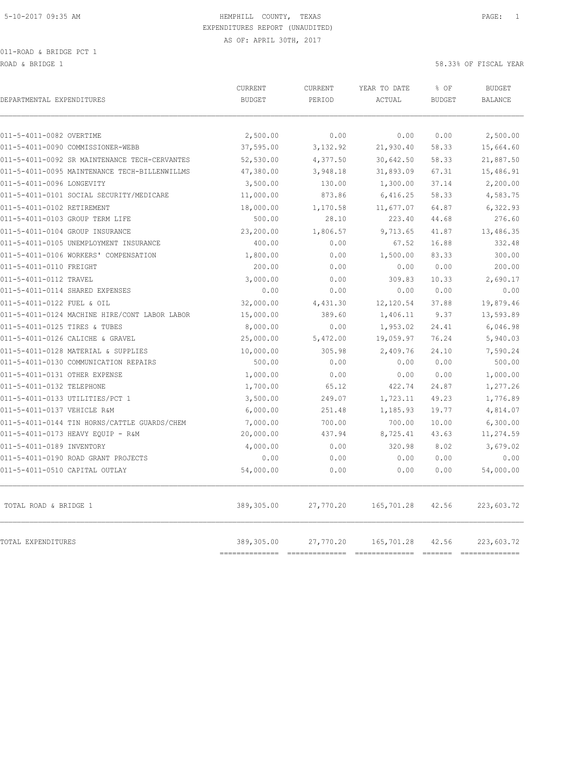ROAD & BRIDGE 1 58.33% OF FISCAL YEAR (1999) AND THE SECOND ASSESSMENT OF THE SECOND MANUSCRIPT OF THE SECOND MANUSCRIPT OF THE SECOND MANUSCRIPT OF THE SECOND MANUSCRIPT OF THE SECOND MANUSCRIPT OF THE SECOND MANUSCRIPT O

| DEPARTMENTAL EXPENDITURES                     | <b>CURRENT</b><br><b>BUDGET</b> | CURRENT<br>PERIOD | YEAR TO DATE<br>ACTUAL | % OF<br><b>BUDGET</b>   | <b>BUDGET</b><br><b>BALANCE</b> |
|-----------------------------------------------|---------------------------------|-------------------|------------------------|-------------------------|---------------------------------|
| 011-5-4011-0082 OVERTIME                      | 2,500.00                        | 0.00              | 0.00                   | 0.00                    | 2,500.00                        |
| 011-5-4011-0090 COMMISSIONER-WEBB             | 37,595.00                       | 3,132.92          | 21,930.40              | 58.33                   | 15,664.60                       |
| 011-5-4011-0092 SR MAINTENANCE TECH-CERVANTES | 52,530.00                       | 4,377.50          | 30,642.50              | 58.33                   | 21,887.50                       |
| 011-5-4011-0095 MAINTENANCE TECH-BILLENWILLMS | 47,380.00                       | 3,948.18          | 31,893.09              | 67.31                   | 15,486.91                       |
| 011-5-4011-0096 LONGEVITY                     | 3,500.00                        | 130.00            | 1,300.00               | 37.14                   | 2,200.00                        |
| 011-5-4011-0101 SOCIAL SECURITY/MEDICARE      | 11,000.00                       | 873.86            | 6,416.25               | 58.33                   | 4,583.75                        |
| 011-5-4011-0102 RETIREMENT                    | 18,000.00                       | 1,170.58          | 11,677.07              | 64.87                   | 6,322.93                        |
| 011-5-4011-0103 GROUP TERM LIFE               | 500.00                          | 28.10             | 223.40                 | 44.68                   | 276.60                          |
| 011-5-4011-0104 GROUP INSURANCE               | 23,200.00                       | 1,806.57          | 9,713.65               | 41.87                   | 13,486.35                       |
| 011-5-4011-0105 UNEMPLOYMENT INSURANCE        | 400.00                          | 0.00              | 67.52                  | 16.88                   | 332.48                          |
| 011-5-4011-0106 WORKERS' COMPENSATION         | 1,800.00                        | 0.00              | 1,500.00               | 83.33                   | 300.00                          |
| 011-5-4011-0110 FREIGHT                       | 200.00                          | 0.00              | 0.00                   | 0.00                    | 200.00                          |
| 011-5-4011-0112 TRAVEL                        | 3,000.00                        | 0.00              | 309.83                 | 10.33                   | 2,690.17                        |
| 011-5-4011-0114 SHARED EXPENSES               | 0.00                            | 0.00              | 0.00                   | 0.00                    | 0.00                            |
| 011-5-4011-0122 FUEL & OIL                    | 32,000.00                       | 4,431.30          | 12,120.54              | 37.88                   | 19,879.46                       |
| 011-5-4011-0124 MACHINE HIRE/CONT LABOR LABOR | 15,000.00                       | 389.60            | 1,406.11               | 9.37                    | 13,593.89                       |
| 011-5-4011-0125 TIRES & TUBES                 | 8,000.00                        | 0.00              | 1,953.02               | 24.41                   | 6,046.98                        |
| 011-5-4011-0126 CALICHE & GRAVEL              | 25,000.00                       | 5,472.00          | 19,059.97              | 76.24                   | 5,940.03                        |
| 011-5-4011-0128 MATERIAL & SUPPLIES           | 10,000.00                       | 305.98            | 2,409.76               | 24.10                   | 7,590.24                        |
| 011-5-4011-0130 COMMUNICATION REPAIRS         | 500.00                          | 0.00              | 0.00                   | 0.00                    | 500.00                          |
| 011-5-4011-0131 OTHER EXPENSE                 | 1,000.00                        | 0.00              | 0.00                   | 0.00                    | 1,000.00                        |
| 011-5-4011-0132 TELEPHONE                     | 1,700.00                        | 65.12             | 422.74                 | 24.87                   | 1,277.26                        |
| 011-5-4011-0133 UTILITIES/PCT 1               | 3,500.00                        | 249.07            | 1,723.11               | 49.23                   | 1,776.89                        |
| 011-5-4011-0137 VEHICLE R&M                   | 6,000.00                        | 251.48            | 1,185.93               | 19.77                   | 4,814.07                        |
| 011-5-4011-0144 TIN HORNS/CATTLE GUARDS/CHEM  | 7,000.00                        | 700.00            | 700.00                 | 10.00                   | 6,300.00                        |
| 011-5-4011-0173 HEAVY EQUIP - R&M             | 20,000.00                       | 437.94            | 8,725.41               | 43.63                   | 11,274.59                       |
| 011-5-4011-0189 INVENTORY                     | 4,000.00                        | 0.00              | 320.98                 | 8.02                    | 3,679.02                        |
| 011-5-4011-0190 ROAD GRANT PROJECTS           | 0.00                            | 0.00              | 0.00                   | 0.00                    | 0.00                            |
| 011-5-4011-0510 CAPITAL OUTLAY                | 54,000.00                       | 0.00              | 0.00                   | 0.00                    | 54,000.00                       |
| TOTAL ROAD & BRIDGE 1                         | 389,305.00                      | 27,770.20         | 165,701.28             | 42.56                   | 223,603.72                      |
| <b>TOTAL EXPENDITURES</b>                     | 389,305.00<br>-----------       | 27,770.20         | 165,701.28             | 42.56<br><b>ERRESTE</b> | 223,603.72                      |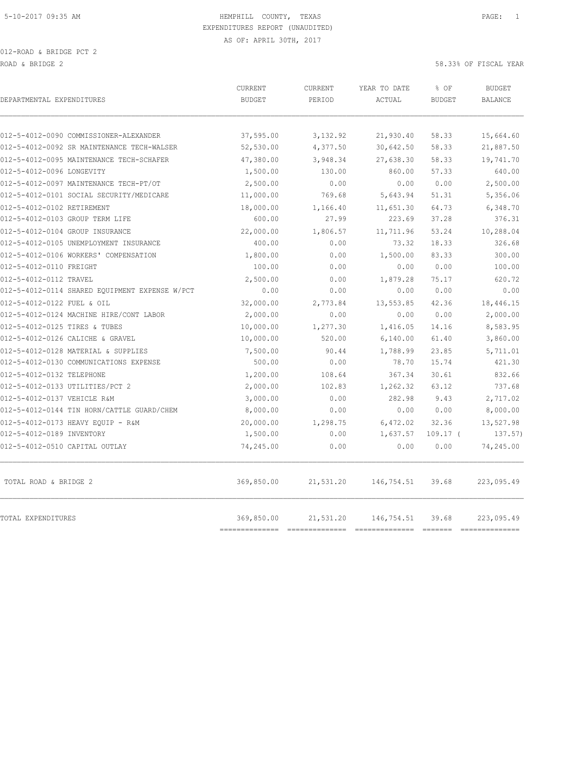| DEPARTMENTAL EXPENDITURES                      | <b>CURRENT</b><br><b>BUDGET</b> | CURRENT<br>PERIOD | YEAR TO DATE<br>ACTUAL | % OF<br><b>BUDGET</b> | <b>BUDGET</b><br><b>BALANCE</b> |
|------------------------------------------------|---------------------------------|-------------------|------------------------|-----------------------|---------------------------------|
| 012-5-4012-0090 COMMISSIONER-ALEXANDER         | 37,595.00                       | 3,132.92          | 21,930.40              | 58.33                 | 15,664.60                       |
| 012-5-4012-0092 SR MAINTENANCE TECH-WALSER     | 52,530.00                       | 4,377.50          | 30,642.50              | 58.33                 | 21,887.50                       |
| 012-5-4012-0095 MAINTENANCE TECH-SCHAFER       | 47,380.00                       | 3,948.34          | 27,638.30              | 58.33                 | 19,741.70                       |
| 012-5-4012-0096 LONGEVITY                      | 1,500.00                        | 130.00            | 860.00                 | 57.33                 | 640.00                          |
| 012-5-4012-0097 MAINTENANCE TECH-PT/OT         | 2,500.00                        | 0.00              | 0.00                   | 0.00                  | 2,500.00                        |
| 012-5-4012-0101 SOCIAL SECURITY/MEDICARE       | 11,000.00                       | 769.68            | 5,643.94               | 51.31                 | 5,356.06                        |
| 012-5-4012-0102 RETIREMENT                     | 18,000.00                       | 1,166.40          | 11,651.30              | 64.73                 | 6,348.70                        |
| 012-5-4012-0103 GROUP TERM LIFE                | 600.00                          | 27.99             | 223.69                 | 37.28                 | 376.31                          |
| 012-5-4012-0104 GROUP INSURANCE                | 22,000.00                       | 1,806.57          | 11,711.96              | 53.24                 | 10,288.04                       |
| 012-5-4012-0105 UNEMPLOYMENT INSURANCE         | 400.00                          | 0.00              | 73.32                  | 18.33                 | 326.68                          |
| 012-5-4012-0106 WORKERS' COMPENSATION          | 1,800.00                        | 0.00              | 1,500.00               | 83.33                 | 300.00                          |
| 012-5-4012-0110 FREIGHT                        | 100.00                          | 0.00              | 0.00                   | 0.00                  | 100.00                          |
| 012-5-4012-0112 TRAVEL                         | 2,500.00                        | 0.00              | 1,879.28               | 75.17                 | 620.72                          |
| 012-5-4012-0114 SHARED EQUIPMENT EXPENSE W/PCT | 0.00                            | 0.00              | 0.00                   | 0.00                  | 0.00                            |
| 012-5-4012-0122 FUEL & OIL                     | 32,000.00                       | 2,773.84          | 13,553.85              | 42.36                 | 18,446.15                       |
| 012-5-4012-0124 MACHINE HIRE/CONT LABOR        | 2,000.00                        | 0.00              | 0.00                   | 0.00                  | 2,000.00                        |
| 012-5-4012-0125 TIRES & TUBES                  | 10,000.00                       | 1,277.30          | 1,416.05               | 14.16                 | 8,583.95                        |
| 012-5-4012-0126 CALICHE & GRAVEL               | 10,000.00                       | 520.00            | 6,140.00               | 61.40                 | 3,860.00                        |
| 012-5-4012-0128 MATERIAL & SUPPLIES            | 7,500.00                        | 90.44             | 1,788.99               | 23.85                 | 5,711.01                        |
| 012-5-4012-0130 COMMUNICATIONS EXPENSE         | 500.00                          | 0.00              | 78.70                  | 15.74                 | 421.30                          |
| 012-5-4012-0132 TELEPHONE                      | 1,200.00                        | 108.64            | 367.34                 | 30.61                 | 832.66                          |
| 012-5-4012-0133 UTILITIES/PCT 2                | 2,000.00                        | 102.83            | 1,262.32               | 63.12                 | 737.68                          |
| 012-5-4012-0137 VEHICLE R&M                    | 3,000.00                        | 0.00              | 282.98                 | 9.43                  | 2,717.02                        |
| 012-5-4012-0144 TIN HORN/CATTLE GUARD/CHEM     | 8,000.00                        | 0.00              | 0.00                   | 0.00                  | 8,000.00                        |
| 012-5-4012-0173 HEAVY EQUIP - R&M              | 20,000.00                       | 1,298.75          | 6,472.02               | 32.36                 | 13,527.98                       |
| 012-5-4012-0189 INVENTORY                      | 1,500.00                        | 0.00              | 1,637.57               | $109.17$ (            | 137.57)                         |
| 012-5-4012-0510 CAPITAL OUTLAY                 | 74,245.00                       | 0.00              | 0.00                   | 0.00                  | 74,245.00                       |
| TOTAL ROAD & BRIDGE 2                          | 369,850.00                      | 21,531.20         | 146,754.51             | 39.68                 | 223,095.49                      |
| TOTAL EXPENDITURES                             | 369,850.00<br>===========       | 21,531.20         | 146,754.51             | 39.68                 | 223,095.49<br>----------        |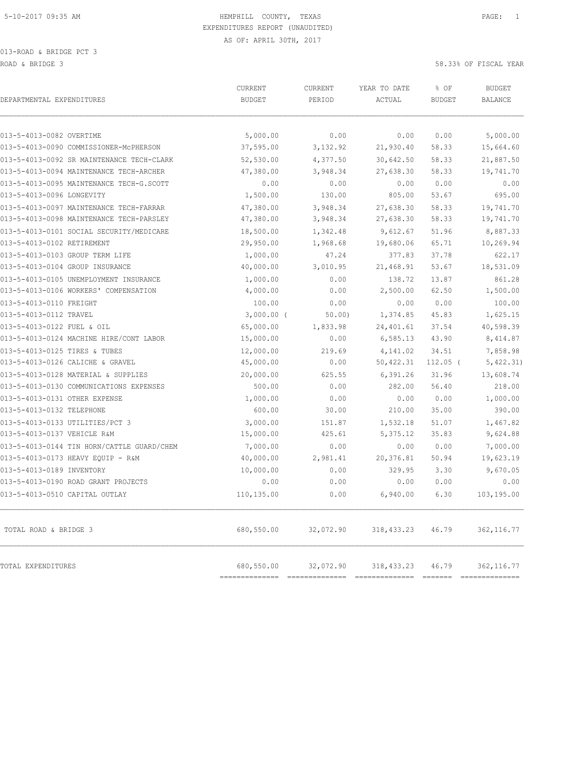|                                            | CURRENT                  | CURRENT   | YEAR TO DATE | % OF          | <b>BUDGET</b>  |
|--------------------------------------------|--------------------------|-----------|--------------|---------------|----------------|
| DEPARTMENTAL EXPENDITURES                  | <b>BUDGET</b>            | PERIOD    | ACTUAL       | <b>BUDGET</b> | <b>BALANCE</b> |
| 013-5-4013-0082 OVERTIME                   | 5,000.00                 | 0.00      | 0.00         | 0.00          | 5,000.00       |
| 013-5-4013-0090 COMMISSIONER-McPHERSON     | 37,595.00                | 3,132.92  | 21,930.40    | 58.33         | 15,664.60      |
| 013-5-4013-0092 SR MAINTENANCE TECH-CLARK  | 52,530.00                | 4,377.50  | 30,642.50    | 58.33         | 21,887.50      |
| 013-5-4013-0094 MAINTENANCE TECH-ARCHER    | 47,380.00                | 3,948.34  | 27,638.30    | 58.33         | 19,741.70      |
| 013-5-4013-0095 MAINTENANCE TECH-G.SCOTT   | 0.00                     | 0.00      | 0.00         | 0.00          | 0.00           |
| 013-5-4013-0096 LONGEVITY                  | 1,500.00                 | 130.00    | 805.00       | 53.67         | 695.00         |
| 013-5-4013-0097 MAINTENANCE TECH-FARRAR    | 47,380.00                | 3,948.34  | 27,638.30    | 58.33         | 19,741.70      |
| 013-5-4013-0098 MAINTENANCE TECH-PARSLEY   | 47,380.00                | 3,948.34  | 27,638.30    | 58.33         | 19,741.70      |
| 013-5-4013-0101 SOCIAL SECURITY/MEDICARE   | 18,500.00                | 1,342.48  | 9,612.67     | 51.96         | 8,887.33       |
| 013-5-4013-0102 RETIREMENT                 | 29,950.00                | 1,968.68  | 19,680.06    | 65.71         | 10,269.94      |
| 013-5-4013-0103 GROUP TERM LIFE            | 1,000.00                 | 47.24     | 377.83       | 37.78         | 622.17         |
| 013-5-4013-0104 GROUP INSURANCE            | 40,000.00                | 3,010.95  | 21,468.91    | 53.67         | 18,531.09      |
| 013-5-4013-0105 UNEMPLOYMENT INSURANCE     | 1,000.00                 | 0.00      | 138.72       | 13.87         | 861.28         |
| 013-5-4013-0106 WORKERS' COMPENSATION      | 4,000.00                 | 0.00      | 2,500.00     | 62.50         | 1,500.00       |
| 013-5-4013-0110 FREIGHT                    | 100.00                   | 0.00      | 0.00         | 0.00          | 100.00         |
| 013-5-4013-0112 TRAVEL                     | $3,000.00$ (             | 50.00     | 1,374.85     | 45.83         | 1,625.15       |
| 013-5-4013-0122 FUEL & OIL                 | 65,000.00                | 1,833.98  | 24,401.61    | 37.54         | 40,598.39      |
| 013-5-4013-0124 MACHINE HIRE/CONT LABOR    | 15,000.00                | 0.00      | 6,585.13     | 43.90         | 8,414.87       |
| 013-5-4013-0125 TIRES & TUBES              | 12,000.00                | 219.69    | 4,141.02     | 34.51         | 7,858.98       |
| 013-5-4013-0126 CALICHE & GRAVEL           | 45,000.00                | 0.00      | 50,422.31    | $112.05$ (    | 5,422.31)      |
| 013-5-4013-0128 MATERIAL & SUPPLIES        | 20,000.00                | 625.55    | 6,391.26     | 31.96         | 13,608.74      |
| 013-5-4013-0130 COMMUNICATIONS EXPENSES    | 500.00                   | 0.00      | 282.00       | 56.40         | 218.00         |
| 013-5-4013-0131 OTHER EXPENSE              | 1,000.00                 | 0.00      | 0.00         | 0.00          | 1,000.00       |
| 013-5-4013-0132 TELEPHONE                  | 600.00                   | 30.00     | 210.00       | 35.00         | 390.00         |
| 013-5-4013-0133 UTILITIES/PCT 3            | 3,000.00                 | 151.87    | 1,532.18     | 51.07         | 1,467.82       |
| 013-5-4013-0137 VEHICLE R&M                | 15,000.00                | 425.61    | 5,375.12     | 35.83         | 9,624.88       |
| 013-5-4013-0144 TIN HORN/CATTLE GUARD/CHEM | 7,000.00                 | 0.00      | 0.00         | 0.00          | 7,000.00       |
| 013-5-4013-0173 HEAVY EQUIP - R&M          | 40,000.00                | 2,981.41  | 20,376.81    | 50.94         | 19,623.19      |
| 013-5-4013-0189 INVENTORY                  | 10,000.00                | 0.00      | 329.95       | 3.30          | 9,670.05       |
| 013-5-4013-0190 ROAD GRANT PROJECTS        | 0.00                     | 0.00      | 0.00         | 0.00          | 0.00           |
| 013-5-4013-0510 CAPITAL OUTLAY             | 110,135.00               | 0.00      | 6,940.00     | 6.30          | 103,195.00     |
| TOTAL ROAD & BRIDGE 3                      | 680,550.00               | 32,072.90 | 318, 433.23  | 46.79         | 362, 116.77    |
| TOTAL EXPENDITURES                         | 680,550.00<br>========== | 32,072.90 | 318, 433.23  | 46.79         | 362, 116.77    |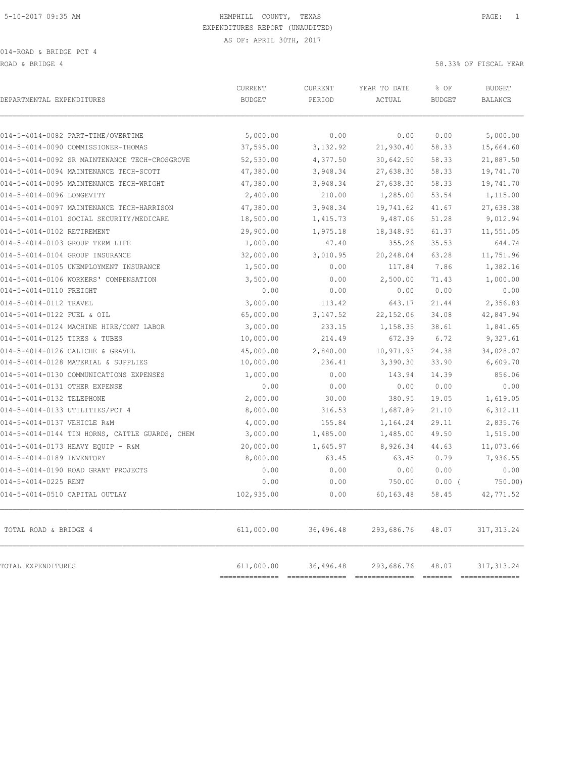ROAD & BRIDGE 4 58.33% OF FISCAL YEAR (1999) AND HOT SERVICE A SERVICE A SERVICE A SERVICE A SERVICE A SERVICE A

| DEPARTMENTAL EXPENDITURES                      | CURRENT<br><b>BUDGET</b> | CURRENT<br>PERIOD | YEAR TO DATE<br>ACTUAL | % OF<br><b>BUDGET</b> | <b>BUDGET</b><br><b>BALANCE</b> |
|------------------------------------------------|--------------------------|-------------------|------------------------|-----------------------|---------------------------------|
| 014-5-4014-0082 PART-TIME/OVERTIME             | 5,000.00                 | 0.00              | 0.00                   | 0.00                  | 5,000.00                        |
| 014-5-4014-0090 COMMISSIONER-THOMAS            | 37,595.00                | 3,132.92          | 21,930.40              | 58.33                 | 15,664.60                       |
| 014-5-4014-0092 SR MAINTENANCE TECH-CROSGROVE  | 52,530.00                | 4,377.50          | 30,642.50              | 58.33                 | 21,887.50                       |
| 014-5-4014-0094 MAINTENANCE TECH-SCOTT         | 47,380.00                | 3,948.34          | 27,638.30              | 58.33                 | 19,741.70                       |
| 014-5-4014-0095 MAINTENANCE TECH-WRIGHT        | 47,380.00                | 3,948.34          | 27,638.30              | 58.33                 | 19,741.70                       |
| 014-5-4014-0096 LONGEVITY                      | 2,400.00                 | 210.00            | 1,285.00               | 53.54                 | 1,115.00                        |
| 014-5-4014-0097 MAINTENANCE TECH-HARRISON      | 47,380.00                | 3,948.34          | 19,741.62              | 41.67                 | 27,638.38                       |
| 014-5-4014-0101 SOCIAL SECURITY/MEDICARE       | 18,500.00                | 1,415.73          | 9,487.06               | 51.28                 | 9,012.94                        |
| 014-5-4014-0102 RETIREMENT                     | 29,900.00                | 1,975.18          | 18,348.95              | 61.37                 | 11,551.05                       |
| 014-5-4014-0103 GROUP TERM LIFE                | 1,000.00                 | 47.40             | 355.26                 | 35.53                 | 644.74                          |
| 014-5-4014-0104 GROUP INSURANCE                | 32,000.00                | 3,010.95          | 20,248.04              | 63.28                 | 11,751.96                       |
| 014-5-4014-0105 UNEMPLOYMENT INSURANCE         | 1,500.00                 | 0.00              | 117.84                 | 7.86                  | 1,382.16                        |
| 014-5-4014-0106 WORKERS' COMPENSATION          | 3,500.00                 | 0.00              | 2,500.00               | 71.43                 | 1,000.00                        |
| 014-5-4014-0110 FREIGHT                        | 0.00                     | 0.00              | 0.00                   | 0.00                  | 0.00                            |
| 014-5-4014-0112 TRAVEL                         | 3,000.00                 | 113.42            | 643.17                 | 21.44                 | 2,356.83                        |
| 014-5-4014-0122 FUEL & OIL                     | 65,000.00                | 3, 147.52         | 22, 152.06             | 34.08                 | 42,847.94                       |
| 014-5-4014-0124 MACHINE HIRE/CONT LABOR        | 3,000.00                 | 233.15            | 1,158.35               | 38.61                 | 1,841.65                        |
| 014-5-4014-0125 TIRES & TUBES                  | 10,000.00                | 214.49            | 672.39                 | 6.72                  | 9,327.61                        |
| 014-5-4014-0126 CALICHE & GRAVEL               | 45,000.00                | 2,840.00          | 10,971.93              | 24.38                 | 34,028.07                       |
| 014-5-4014-0128 MATERIAL & SUPPLIES            | 10,000.00                | 236.41            | 3,390.30               | 33.90                 | 6,609.70                        |
| 014-5-4014-0130 COMMUNICATIONS EXPENSES        | 1,000.00                 | 0.00              | 143.94                 | 14.39                 | 856.06                          |
| 014-5-4014-0131 OTHER EXPENSE                  | 0.00                     | 0.00              | 0.00                   | 0.00                  | 0.00                            |
| 014-5-4014-0132 TELEPHONE                      | 2,000.00                 | 30.00             | 380.95                 | 19.05                 | 1,619.05                        |
| 014-5-4014-0133 UTILITIES/PCT 4                | 8,000.00                 | 316.53            | 1,687.89               | 21.10                 | 6,312.11                        |
| 014-5-4014-0137 VEHICLE R&M                    | 4,000.00                 | 155.84            | 1,164.24               | 29.11                 | 2,835.76                        |
| 014-5-4014-0144 TIN HORNS, CATTLE GUARDS, CHEM | 3,000.00                 | 1,485.00          | 1,485.00               | 49.50                 | 1,515.00                        |
| 014-5-4014-0173 HEAVY EQUIP - R&M              | 20,000.00                | 1,645.97          | 8,926.34               | 44.63                 | 11,073.66                       |
| 014-5-4014-0189 INVENTORY                      | 8,000.00                 | 63.45             | 63.45                  | 0.79                  | 7,936.55                        |
| 014-5-4014-0190 ROAD GRANT PROJECTS            | 0.00                     | 0.00              | 0.00                   | 0.00                  | 0.00                            |
| 014-5-4014-0225 RENT                           | 0.00                     | 0.00              | 750.00                 | $0.00$ (              | $750.00$ )                      |
| 014-5-4014-0510 CAPITAL OUTLAY                 | 102,935.00               | 0.00              | 60,163.48              | 58.45                 | 42,771.52                       |
| TOTAL ROAD & BRIDGE 4                          | 611,000.00               | 36,496.48         | 293,686.76             | 48.07                 | 317, 313.24                     |
| TOTAL EXPENDITURES                             | 611,000.00               | 36,496.48         | 293,686.76             | 48.07                 | 317, 313.24<br>==============   |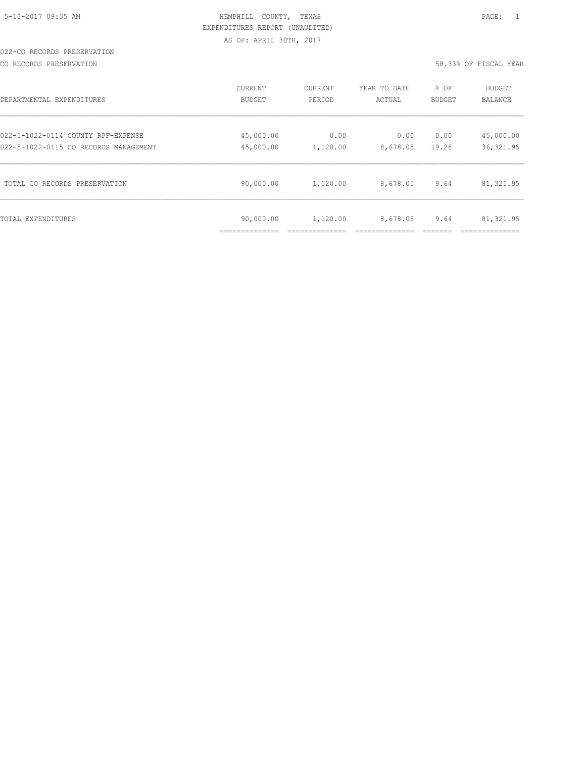#### 022-CO RECORDS PRESERVATION

CO RECORDS PRESERVATION 58.33% OF FISCAL YEAR

| DEPARTMENTAL EXPENDITURES             | CURRENT                    | CURRENT  | YEAR TO DATE | % OF   | BUDGET     |
|---------------------------------------|----------------------------|----------|--------------|--------|------------|
|                                       | <b>BUDGET</b>              | PERIOD   | ACTUAL       | BUDGET | BALANCE    |
| 022-5-1022-0114 COUNTY RPF-EXPENSE    | 45,000.00                  | 0.00     | 0.00         | 0.00   | 45,000.00  |
| 022-5-1022-0115 CO RECORDS MANAGEMENT | 45,000.00                  | 1,120.00 | 8,678.05     | 19.28  | 36, 321.95 |
| TOTAL CO RECORDS PRESERVATION         | 90,000.00                  | 1,120.00 | 8,678.05     | 9.64   | 81,321.95  |
| TOTAL EXPENDITURES                    | 90,000.00<br>_____________ | 1,120.00 | 8,678.05     | 9.64   | 81,321.95  |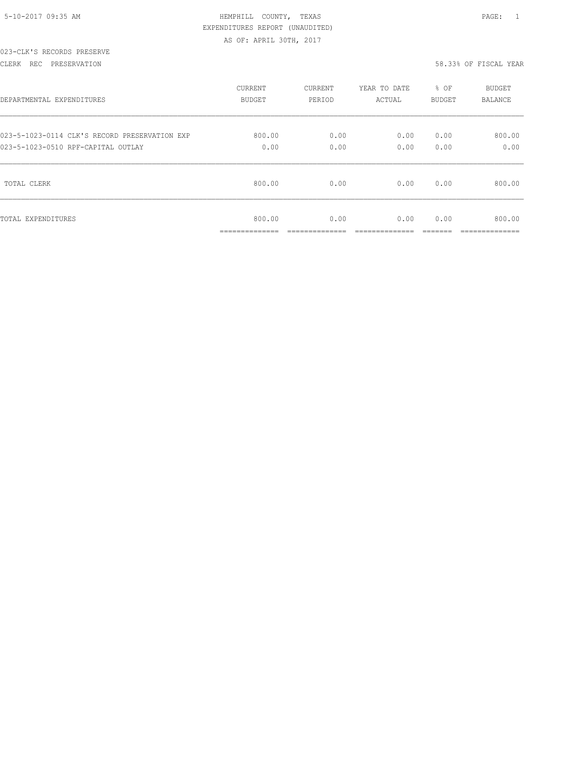| 5-10-2017 09:35 AM |  |
|--------------------|--|

# HEMPHILL COUNTY, TEXAS **Example 20:35 AM HEMPHILL** COUNTY, TEXAS EXPENDITURES REPORT (UNAUDITED) AS OF: APRIL 30TH, 2017

#### 023-CLK'S RECORDS PRESERVE

#### CLERK REC PRESERVATION 58.33% OF FISCAL YEAR

| DEPARTMENTAL EXPENDITURES                     | CURRENT                  | <b>CURRENT</b> | YEAR TO DATE | $8$ OF | <b>BUDGET</b>          |
|-----------------------------------------------|--------------------------|----------------|--------------|--------|------------------------|
|                                               | BUDGET                   | PERIOD         | ACTUAL       | BUDGET | BALANCE                |
| 023-5-1023-0114 CLK'S RECORD PRESERVATION EXP | 800.00                   | 0.00           | 0.00         | 0.00   | 800.00                 |
| 023-5-1023-0510 RPF-CAPITAL OUTLAY            | 0.00                     | 0.00           | 0.00         | 0.00   | 0.00                   |
| TOTAL CLERK                                   | 800.00                   | 0.00           | 0.00         | 0.00   | 800.00                 |
| TOTAL EXPENDITURES                            | 800.00<br>-------------- | 0.00           | 0.00         | 0.00   | 800.00<br>------------ |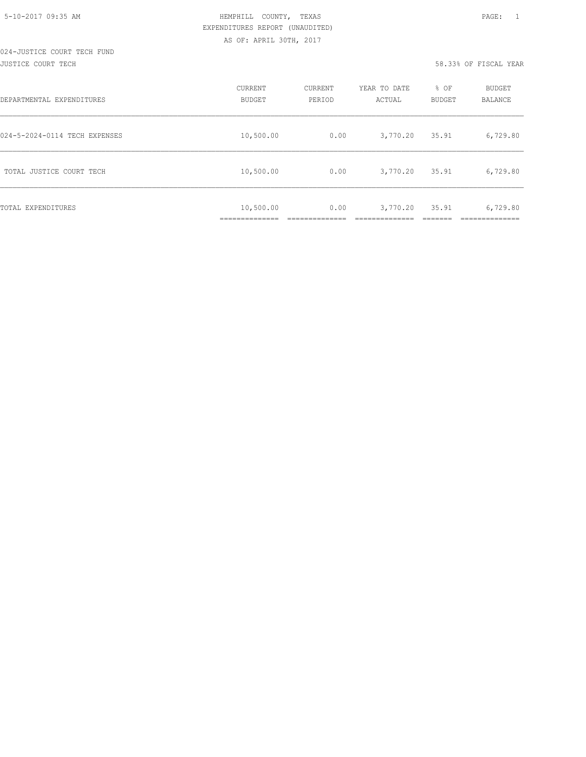#### 024-JUSTICE COURT TECH FUND JUSTICE COURT TECH 58.33% OF FISCAL YEAR

| DEPARTMENTAL EXPENDITURES     | <b>CURRENT</b><br><b>BUDGET</b>           | CURRENT<br>PERIOD | YEAR TO DATE<br>ACTUAL | % OF<br><b>BUDGET</b> | <b>BUDGET</b><br>BALANCE |
|-------------------------------|-------------------------------------------|-------------------|------------------------|-----------------------|--------------------------|
| 024-5-2024-0114 TECH EXPENSES | 10,500.00                                 | 0.00              | 3,770.20               | 35.91                 | 6,729.80                 |
| TOTAL JUSTICE COURT TECH      | 10,500.00                                 | 0.00              | 3,770.20               | 35.91                 | 6,729.80                 |
| TOTAL EXPENDITURES            | 10,500.00<br>-----------<br>_____________ | 0.00              | 3,770.20               | 35.91                 | 6,729.80                 |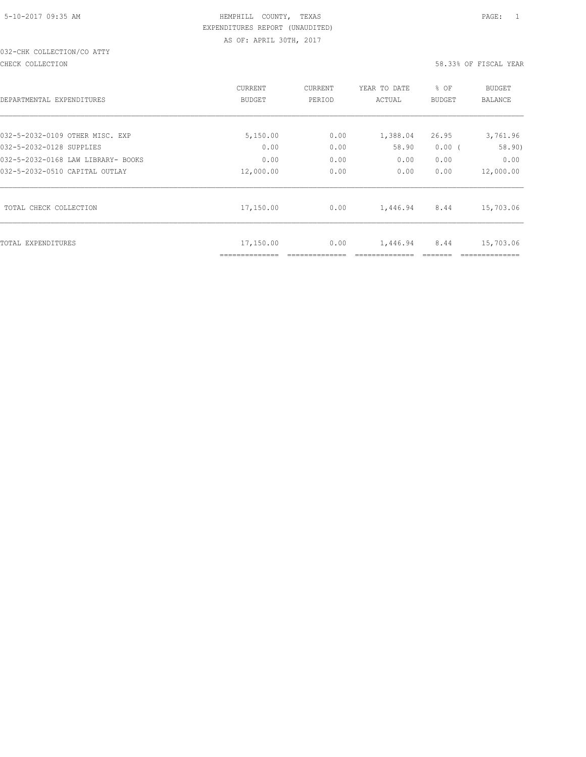# 032-CHK COLLECTION/CO ATTY

#### CHECK COLLECTION 58.33% OF FISCAL YEAR

| DEPARTMENTAL EXPENDITURES          | CURRENT<br><b>BUDGET</b>    | CURRENT<br>PERIOD | YEAR TO DATE<br>ACTUAL | % OF<br><b>BUDGET</b> | BUDGET<br><b>BALANCE</b> |
|------------------------------------|-----------------------------|-------------------|------------------------|-----------------------|--------------------------|
| 032-5-2032-0109 OTHER MISC. EXP    | 5,150.00                    | 0.00              | 1,388.04               | 26.95                 | 3,761.96                 |
| 032-5-2032-0128 SUPPLIES           | 0.00                        | 0.00              | 58.90                  | $0.00$ (              | 58.90)                   |
| 032-5-2032-0168 LAW LIBRARY- BOOKS | 0.00                        | 0.00              | 0.00                   | 0.00                  | 0.00                     |
| 032-5-2032-0510 CAPITAL OUTLAY     | 12,000.00                   | 0.00              | 0.00                   | 0.00                  | 12,000.00                |
| TOTAL CHECK COLLECTION             | 17,150.00                   | 0.00              | 1,446.94               | 8.44                  | 15,703.06                |
| TOTAL EXPENDITURES                 | 17,150.00<br>============== | 0.00              | 1,446.94               | 8.44                  | 15,703.06                |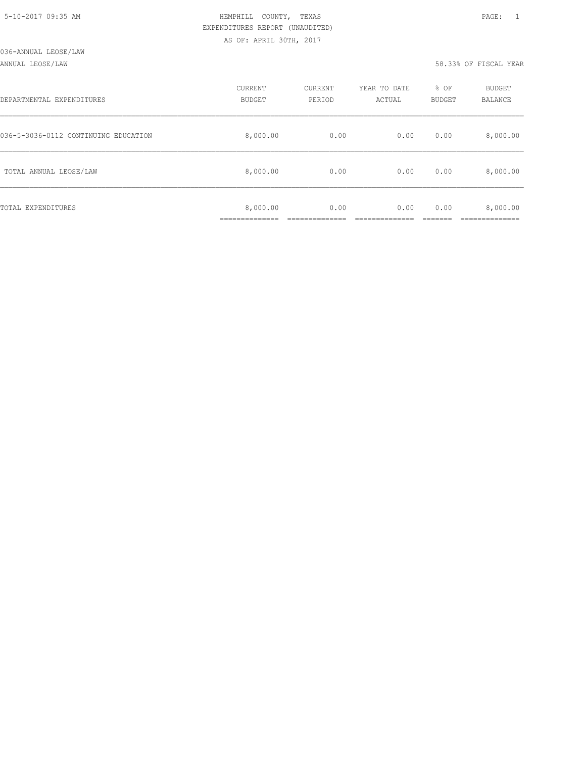#### ANNUAL LEOSE/LAW 58.33% OF FISCAL YEAR

| DEPARTMENTAL EXPENDITURES            | CURRENT<br><b>BUDGET</b> | CURRENT<br>PERIOD | YEAR TO DATE<br>ACTUAL | % OF<br>BUDGET | BUDGET<br>BALANCE |
|--------------------------------------|--------------------------|-------------------|------------------------|----------------|-------------------|
| 036-5-3036-0112 CONTINUING EDUCATION | 8,000.00                 | 0.00              | 0.00                   | 0.00           | 8,000.00          |
| TOTAL ANNUAL LEOSE/LAW               | 8,000.00                 | 0.00              | 0.00                   | 0.00           | 8,000.00          |
| TOTAL EXPENDITURES                   | 8,000.00<br>___________  | 0.00              | 0.00                   | 0.00           | 8,000.00          |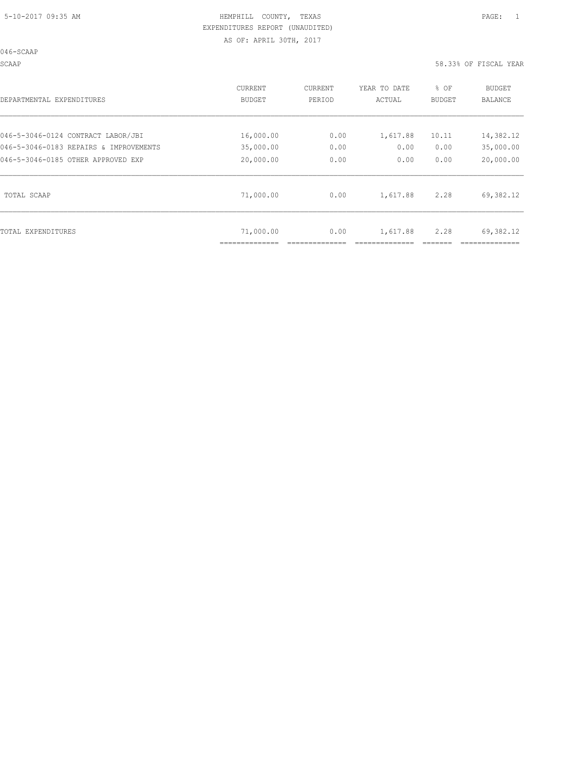046-SCAAP

SCAAP 58.33% OF FISCAL YEAR

| DEPARTMENTAL EXPENDITURES              | <b>CURRENT</b><br>BUDGET | <b>CURRENT</b><br>PERIOD | YEAR TO DATE<br>ACTUAL | % OF<br>BUDGET | <b>BUDGET</b><br><b>BALANCE</b> |
|----------------------------------------|--------------------------|--------------------------|------------------------|----------------|---------------------------------|
| 046-5-3046-0124 CONTRACT LABOR/JBI     | 16,000.00                | 0.00                     | 1,617.88               | 10.11          | 14,382.12                       |
| 046-5-3046-0183 REPAIRS & IMPROVEMENTS | 35,000.00                | 0.00                     | 0.00                   | 0.00           | 35,000.00                       |
| 046-5-3046-0185 OTHER APPROVED EXP     | 20,000.00                | 0.00                     | 0.00                   | 0.00           | 20,000.00                       |
| TOTAL SCAAP                            | 71,000.00                | 0.00                     | 1,617.88               | 2.28           | 69,382.12                       |
| TOTAL EXPENDITURES                     | 71,000.00                | 0.00                     | 1,617.88               | 2.28           | 69,382.12                       |